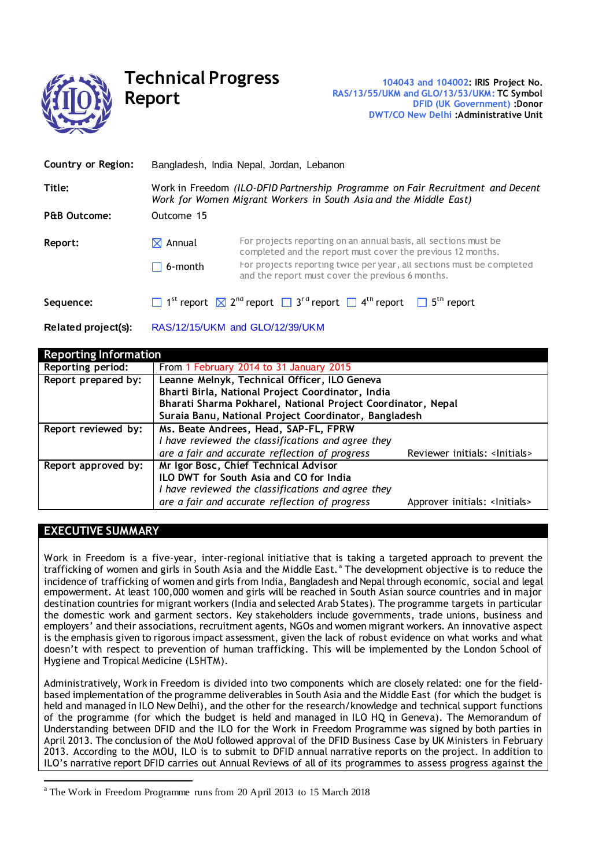

# **Technical Progress Report**

| Country or Region:      | Bangladesh, India Nepal, Jordan, Lebanon                                                                                                            |                                                                                                                                                            |  |
|-------------------------|-----------------------------------------------------------------------------------------------------------------------------------------------------|------------------------------------------------------------------------------------------------------------------------------------------------------------|--|
| Title:                  | Work in Freedom (ILO-DFID Partnership Programme on Fair Recruitment and Decent<br>Work for Women Migrant Workers in South Asia and the Middle East) |                                                                                                                                                            |  |
| <b>P&amp;B Outcome:</b> | Outcome 15                                                                                                                                          |                                                                                                                                                            |  |
| Report:                 | $\boxtimes$ Annual                                                                                                                                  | For projects reporting on an annual basis, all sections must be<br>completed and the report must cover the previous 12 months.                             |  |
|                         | $\Box$ 6-month                                                                                                                                      | For projects reporting twice per year, all sections must be completed<br>and the report must cover the previous 6 months.                                  |  |
| Sequence:               |                                                                                                                                                     | $\Box$ 1 <sup>st</sup> report $\boxtimes$ 2 <sup>nd</sup> report $\Box$ 3 <sup>rd</sup> report $\Box$ 4 <sup>th</sup> report $\Box$ 5 <sup>th</sup> report |  |

**Related project(s):** RAS/12/15/UKM and GLO/12/39/UKM

| <b>Reporting Information</b> |                                                              |                                          |
|------------------------------|--------------------------------------------------------------|------------------------------------------|
| Reporting period:            | From 1 February 2014 to 31 January 2015                      |                                          |
| Report prepared by:          | Leanne Melnyk, Technical Officer, ILO Geneva                 |                                          |
|                              | Bharti Birla, National Project Coordinator, India            |                                          |
|                              | Bharati Sharma Pokharel, National Project Coordinator, Nepal |                                          |
|                              | Suraia Banu, National Project Coordinator, Bangladesh        |                                          |
| Report reviewed by:          | Ms. Beate Andrees, Head, SAP-FL, FPRW                        |                                          |
|                              | I have reviewed the classifications and agree they           |                                          |
|                              | are a fair and accurate reflection of progress               | Reviewer initials: <lnitials></lnitials> |
| Report approved by:          | Mr Igor Bosc, Chief Technical Advisor                        |                                          |
|                              | ILO DWT for South Asia and CO for India                      |                                          |
|                              | I have reviewed the classifications and agree they           |                                          |
|                              | are a fair and accurate reflection of progress               | Approver initials: <lnitials></lnitials> |

# **EXECUTIVE SUMMARY**

 $\overline{a}$ 

Work in Freedom is a five-year, inter-regional initiative that is taking a targeted approach to prevent the trafficking of women and girls in South Asia and the Middle East.<sup>a</sup> The development objective is to reduce the incidence of trafficking of women and girls from India, Bangladesh and Nepal through economic, social and legal empowerment. At least 100,000 women and girls will be reached in South Asian source countries and in major destination countries for migrant workers (India and selected Arab States). The programme targets in particular the domestic work and garment sectors. Key stakeholders include governments, trade unions, business and employers' and their associations, recruitment agents, NGOs and women migrant workers. An innovative aspect is the emphasis given to rigorous impact assessment, given the lack of robust evidence on what works and what doesn't with respect to prevention of human trafficking. This will be implemented by the London School of Hygiene and Tropical Medicine (LSHTM).

Administratively, Work in Freedom is divided into two components which are closely related: one for the fieldbased implementation of the programme deliverables in South Asia and the Middle East (for which the budget is held and managed in ILO New Delhi), and the other for the research/knowledge and technical support functions of the programme (for which the budget is held and managed in ILO HQ in Geneva). The Memorandum of Understanding between DFID and the ILO for the Work in Freedom Programme was signed by both parties in April 2013. The conclusion of the MoU followed approval of the DFID Business Case by UK Ministers in February 2013. According to the MOU, ILO is to submit to DFID annual narrative reports on the project. In addition to ILO's narrative report DFID carries out Annual Reviews of all of its programmes to assess progress against the

<sup>&</sup>lt;sup>a</sup> The Work in Freedom Programme runs from 20 April 2013 to 15 March 2018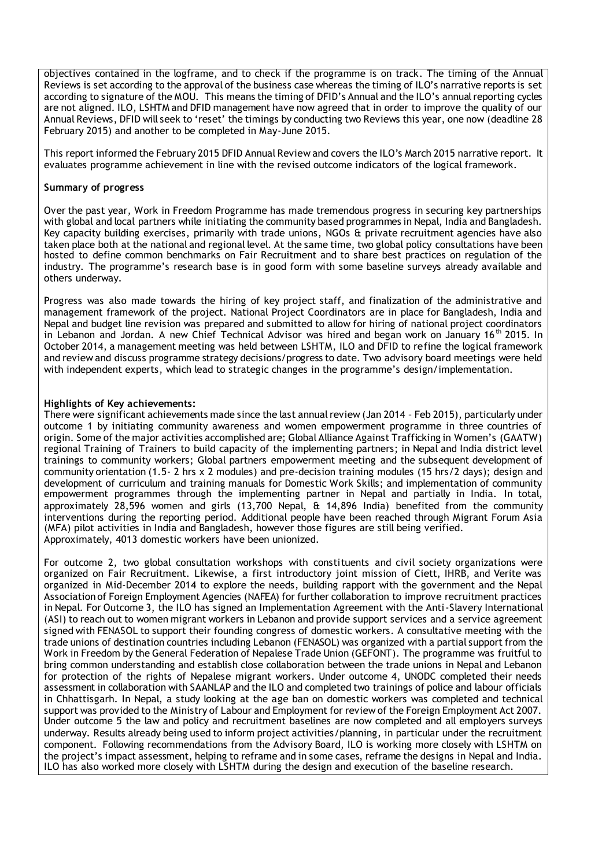objectives contained in the logframe, and to check if the programme is on track. The timing of the Annual Reviews is set according to the approval of the business case whereas the timing of ILO's narrative reports is set according to signature of the MOU. This means the timing of DFID's Annual and the ILO's annual reporting cycles are not aligned. ILO, LSHTM and DFID management have now agreed that in order to improve the quality of our Annual Reviews, DFID will seek to 'reset' the timings by conducting two Reviews this year, one now (deadline 28 February 2015) and another to be completed in May-June 2015.

This report informed the February 2015 DFID Annual Review and covers the ILO's March 2015 narrative report. It evaluates programme achievement in line with the revised outcome indicators of the logical framework.

#### **Summary of progress**

Over the past year, Work in Freedom Programme has made tremendous progress in securing key partnerships with global and local partners while initiating the community based programmes in Nepal, India and Bangladesh. Key capacity building exercises, primarily with trade unions, NGOs & private recruitment agencies have also taken place both at the national and regional level. At the same time, two global policy consultations have been hosted to define common benchmarks on Fair Recruitment and to share best practices on regulation of the industry. The programme's research base is in good form with some baseline surveys already available and others underway.

Progress was also made towards the hiring of key project staff, and finalization of the administrative and management framework of the project. National Project Coordinators are in place for Bangladesh, India and Nepal and budget line revision was prepared and submitted to allow for hiring of national project coordinators in Lebanon and Jordan. A new Chief Technical Advisor was hired and began work on January 16<sup>th</sup> 2015. In October 2014, a management meeting was held between LSHTM, ILO and DFID to refine the logical framework and review and discuss programme strategy decisions/progress to date. Two advisory board meetings were held with independent experts, which lead to strategic changes in the programme's design/implementation.

# **Highlights of Key achievements:**

There were significant achievements made since the last annual review (Jan 2014 – Feb 2015), particularly under outcome 1 by initiating community awareness and women empowerment programme in three countries of origin. Some of the major activities accomplished are; Global Alliance Against Trafficking in Women's (GAATW) regional Training of Trainers to build capacity of the implementing partners; in Nepal and India district level trainings to community workers; Global partners empowerment meeting and the subsequent development of community orientation (1.5- 2 hrs x 2 modules) and pre-decision training modules (15 hrs/2 days); design and development of curriculum and training manuals for Domestic Work Skills; and implementation of community empowerment programmes through the implementing partner in Nepal and partially in India. In total, approximately 28,596 women and girls (13,700 Nepal, & 14,896 India) benefited from the community interventions during the reporting period. Additional people have been reached through Migrant Forum Asia (MFA) pilot activities in India and Bangladesh, however those figures are still being verified. Approximately, 4013 domestic workers have been unionized.

For outcome 2, two global consultation workshops with constituents and civil society organizations were organized on Fair Recruitment. Likewise, a first introductory joint mission of Ciett, IHRB, and Verite was organized in Mid-December 2014 to explore the needs, building rapport with the government and the Nepal Association of Foreign Employment Agencies (NAFEA) for further collaboration to improve recruitment practices in Nepal. For Outcome 3, the ILO has signed an Implementation Agreement with the Anti-Slavery International (ASI) to reach out to women migrant workers in Lebanon and provide support services and a service agreement signed with FENASOL to support their founding congress of domestic workers. A consultative meeting with the trade unions of destination countries including Lebanon (FENASOL) was organized with a partial support from the Work in Freedom by the General Federation of Nepalese Trade Union (GEFONT). The programme was fruitful to bring common understanding and establish close collaboration between the trade unions in Nepal and Lebanon for protection of the rights of Nepalese migrant workers. Under outcome 4, UNODC completed their needs assessment in collaboration with SAANLAP and the ILO and completed two trainings of police and labour officials in Chhattisgarh. In Nepal, a study looking at the age ban on domestic workers was completed and technical support was provided to the Ministry of Labour and Employment for review of the Foreign Employment Act 2007. Under outcome 5 the law and policy and recruitment baselines are now completed and all employers surveys underway. Results already being used to inform project activities/planning, in particular under the recruitment component. Following recommendations from the Advisory Board, ILO is working more closely with LSHTM on the project's impact assessment, helping to reframe and in some cases, reframe the designs in Nepal and India. ILO has also worked more closely with LSHTM during the design and execution of the baseline research.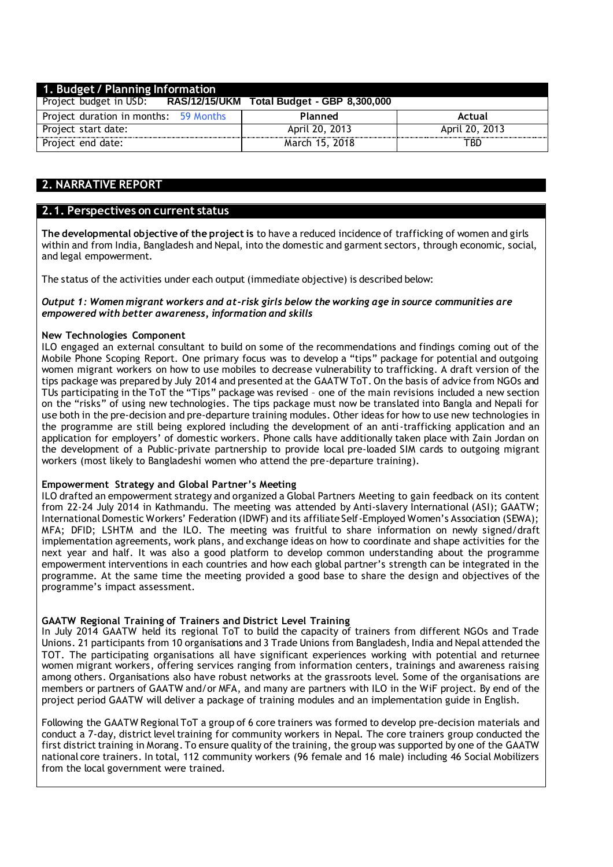| 1. Budget / Planning Information      |                                            |                |  |  |  |
|---------------------------------------|--------------------------------------------|----------------|--|--|--|
| Project budget in USD:                | RAS/12/15/UKM Total Budget - GBP 8,300,000 |                |  |  |  |
| Project duration in months: 59 Months | Planned                                    | Actual         |  |  |  |
| Project start date:                   | April 20, 2013                             | April 20, 2013 |  |  |  |
| Project end date:                     | March 15, 2018                             | TBD            |  |  |  |

# **2. NARRATIVE REPORT**

# **2.1. Perspectives on current status**

**The developmental objective of the project is** to have a reduced incidence of trafficking of women and girls within and from India, Bangladesh and Nepal, into the domestic and garment sectors, through economic, social, and legal empowerment.

The status of the activities under each output (immediate objective) is described below:

#### *Output 1: Women migrant workers and at-risk girls below the working age in source communities are empowered with better awareness, information and skills*

#### **New Technologies Component**

ILO engaged an external consultant to build on some of the recommendations and findings coming out of the Mobile Phone Scoping Report. One primary focus was to develop a "tips" package for potential and outgoing women migrant workers on how to use mobiles to decrease vulnerability to trafficking. A draft version of the tips package was prepared by July 2014 and presented at the GAATW ToT. On the basis of advice from NGOs and TUs participating in the ToT the "Tips" package was revised – one of the main revisions included a new section on the "risks" of using new technologies. The tips package must now be translated into Bangla and Nepali for use both in the pre-decision and pre-departure training modules. Other ideas for how to use new technologies in the programme are still being explored including the development of an anti-trafficking application and an application for employers' of domestic workers. Phone calls have additionally taken place with Zain Jordan on the development of a Public-private partnership to provide local pre-loaded SIM cards to outgoing migrant workers (most likely to Bangladeshi women who attend the pre-departure training).

#### **Empowerment Strategy and Global Partner's Meeting**

ILO drafted an empowerment strategy and organized a Global Partners Meeting to gain feedback on its content from 22-24 July 2014 in Kathmandu. The meeting was attended by Anti-slavery International (ASI); GAATW; International Domestic Workers' Federation (IDWF) and its affiliate Self-Employed Women's Association (SEWA); MFA; DFID; LSHTM and the ILO. The meeting was fruitful to share information on newly signed/draft implementation agreements, work plans, and exchange ideas on how to coordinate and shape activities for the next year and half. It was also a good platform to develop common understanding about the programme empowerment interventions in each countries and how each global partner's strength can be integrated in the programme. At the same time the meeting provided a good base to share the design and objectives of the programme's impact assessment.

#### **GAATW Regional Training of Trainers and District Level Training**

In July 2014 GAATW held its regional ToT to build the capacity of trainers from different NGOs and Trade Unions. 21 participants from 10 organisations and 3 Trade Unions from Bangladesh, India and Nepal attended the TOT. The participating organisations all have significant experiences working with potential and returnee women migrant workers, offering services ranging from information centers, trainings and awareness raising among others. Organisations also have robust networks at the grassroots level. Some of the organisations are members or partners of GAATW and/or MFA, and many are partners with ILO in the WiF project. By end of the project period GAATW will deliver a package of training modules and an implementation guide in English.

Following the GAATW Regional ToT a group of 6 core trainers was formed to develop pre-decision materials and conduct a 7-day, district level training for community workers in Nepal. The core trainers group conducted the first district training in Morang. To ensure quality of the training, the group was supported by one of the GAATW national core trainers. In total, 112 community workers (96 female and 16 male) including 46 Social Mobilizers from the local government were trained.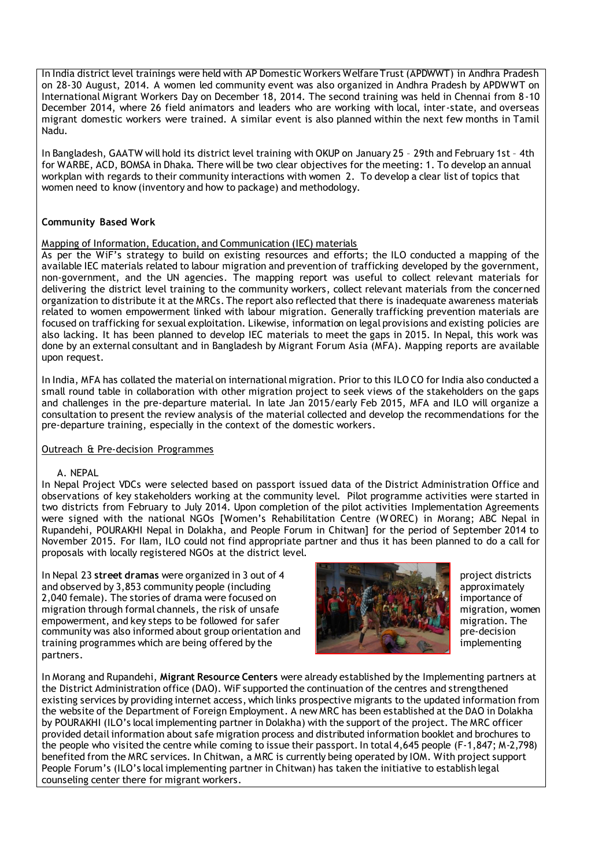In India district level trainings were held with AP Domestic Workers Welfare Trust (APDWWT) in Andhra Pradesh on 28-30 August, 2014. A women led community event was also organized in Andhra Pradesh by APDWWT on International Migrant Workers Day on December 18, 2014. The second training was held in Chennai from 8-10 December 2014, where 26 field animators and leaders who are working with local, inter-state, and overseas migrant domestic workers were trained. A similar event is also planned within the next few months in Tamil Nadu.

In Bangladesh, GAATW will hold its district level training with OKUP on January 25 – 29th and February 1st – 4th for WARBE, ACD, BOMSA in Dhaka. There will be two clear objectives for the meeting: 1. To develop an annual workplan with regards to their community interactions with women 2. To develop a clear list of topics that women need to know (inventory and how to package) and methodology.

# **Community Based Work**

### Mapping of Information, Education, and Communication (IEC) materials

As per the WiF's strategy to build on existing resources and efforts; the ILO conducted a mapping of the available IEC materials related to labour migration and prevention of trafficking developed by the government, non-government, and the UN agencies. The mapping report was useful to collect relevant materials for delivering the district level training to the community workers, collect relevant materials from the concerned organization to distribute it at the MRCs. The report also reflected that there is inadequate awareness materials related to women empowerment linked with labour migration. Generally trafficking prevention materials are focused on trafficking for sexual exploitation. Likewise, information on legal provisions and existing policies are also lacking. It has been planned to develop IEC materials to meet the gaps in 2015. In Nepal, this work was done by an external consultant and in Bangladesh by Migrant Forum Asia (MFA). Mapping reports are available upon request.

In India, MFA has collated the material on international migration. Prior to this ILO CO for India also conducted a small round table in collaboration with other migration project to seek views of the stakeholders on the gaps and challenges in the pre-departure material. In late Jan 2015/early Feb 2015, MFA and ILO will organize a consultation to present the review analysis of the material collected and develop the recommendations for the pre-departure training, especially in the context of the domestic workers.

# Outreach & Pre-decision Programmes

#### A. NEPAL

In Nepal Project VDCs were selected based on passport issued data of the District Administration Office and observations of key stakeholders working at the community level. Pilot programme activities were started in two districts from February to July 2014. Upon completion of the pilot activities Implementation Agreements were signed with the national NGOs [Women's Rehabilitation Centre (W OREC) in Morang; ABC Nepal in Rupandehi, POURAKHI Nepal in Dolakha, and People Forum in Chitwan] for the period of September 2014 to November 2015. For Ilam, ILO could not find appropriate partner and thus it has been planned to do a call for proposals with locally registered NGOs at the district level.

In Nepal 23 street dramas were organized in 3 out of 4 and observed by 3,853 community people (including approximately approximately approximately 2,040 female). The stories of drama were focused on integrating the state of importance of migration through formal channels, the risk of unsafe migration, women migration, women empowerment, and key steps to be followed for safer migration. The migration. The community was also informed about group orientation and pre-decision pre-decision training programmes which are being offered by the implementing implementing partners.



In Morang and Rupandehi, **Migrant Resource Centers** were already established by the Implementing partners at the District Administration office (DAO). WiF supported the continuation of the centres and strengthened existing services by providing internet access, which links prospective migrants to the updated information from the website of the Department of Foreign Employment. A new MRC has been established at the DAO in Dolakha by POURAKHI (ILO's local implementing partner in Dolakha) with the support of the project. The MRC officer provided detail information about safe migration process and distributed information booklet and brochures to the people who visited the centre while coming to issue their passport. In total 4,645 people (F-1,847; M-2,798) benefited from the MRC services. In Chitwan, a MRC is currently being operated by IOM. With project support People Forum's (ILO's local implementing partner in Chitwan) has taken the initiative to establish legal counseling center there for migrant workers.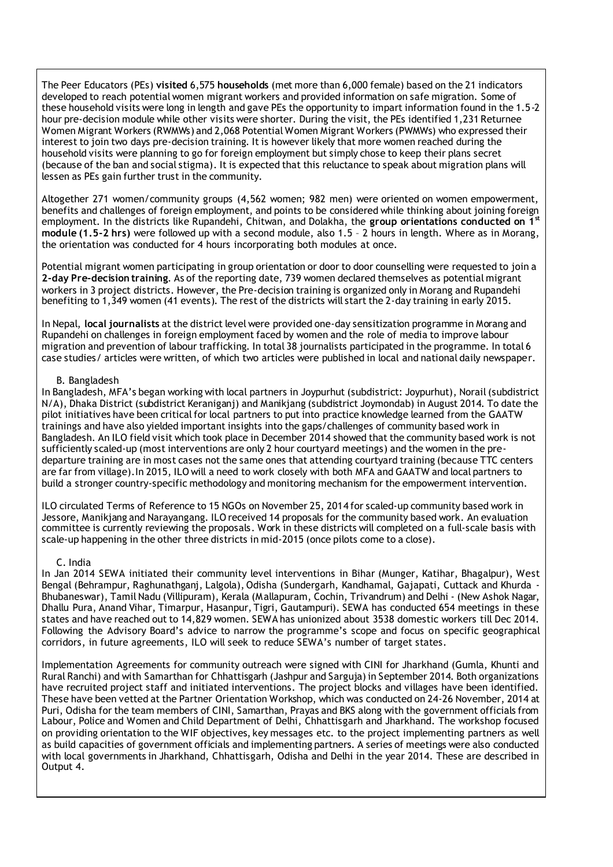The Peer Educators (PEs) **visited** 6,575 **households** (met more than 6,000 female) based on the 21 indicators developed to reach potential women migrant workers and provided information on safe migration. Some of these household visits were long in length and gave PEs the opportunity to impart information found in the 1.5-2 hour pre-decision module while other visits were shorter. During the visit, the PEs identified 1,231 Returnee Women Migrant Workers (RWMWs) and 2,068 Potential Women Migrant Workers (PWMWs) who expressed their interest to join two days pre-decision training. It is however likely that more women reached during the household visits were planning to go for foreign employment but simply chose to keep their plans secret (because of the ban and social stigma). It is expected that this reluctance to speak about migration plans will lessen as PEs gain further trust in the community.

Altogether 271 women/community groups (4,562 women; 982 men) were oriented on women empowerment, benefits and challenges of foreign employment, and points to be considered while thinking about joining foreign employment. In the districts like Rupandehi, Chitwan, and Dolakha, the **group orientations conducted on 1st module (1.5-2 hrs)** were followed up with a second module, also 1.5 – 2 hours in length. Where as in Morang, the orientation was conducted for 4 hours incorporating both modules at once.

Potential migrant women participating in group orientation or door to door counselling were requested to join a **2-day Pre-decision training**. As of the reporting date, 739 women declared themselves as potential migrant workers in 3 project districts. However, the Pre-decision training is organized only in Morang and Rupandehi benefiting to 1,349 women (41 events). The rest of the districts will start the 2-day training in early 2015.

In Nepal, **local journalists** at the district level were provided one-day sensitization programme in Morang and Rupandehi on challenges in foreign employment faced by women and the role of media to improve labour migration and prevention of labour trafficking. In total 38 journalists participated in the programme. In total 6 case studies/ articles were written, of which two articles were published in local and national daily newspaper.

#### B. Bangladesh

In Bangladesh, MFA's began working with local partners in Joypurhut (subdistrict: Joypurhut), Norail (subdistrict N/A), Dhaka District (subdistrict Keraniganj) and Manikjang (subdistrict Joymondab) in August 2014. To date the pilot initiatives have been critical for local partners to put into practice knowledge learned from the GAATW trainings and have also yielded important insights into the gaps/challenges of community based work in Bangladesh. An ILO field visit which took place in December 2014 showed that the community based work is not sufficiently scaled-up (most interventions are only 2 hour courtyard meetings) and the women in the predeparture training are in most cases not the same ones that attending courtyard training (because TTC centers are far from village).In 2015, ILO will a need to work closely with both MFA and GAATW and local partners to build a stronger country-specific methodology and monitoring mechanism for the empowerment intervention.

ILO circulated Terms of Reference to 15 NGOs on November 25, 2014 for scaled-up community based work in Jessore, Manikjang and Narayangang. ILO received 14 proposals for the community based work. An evaluation committee is currently reviewing the proposals. Work in these districts will completed on a full-scale basis with scale-up happening in the other three districts in mid-2015 (once pilots come to a close).

#### C. India

In Jan 2014 SEWA initiated their community level interventions in Bihar (Munger, Katihar, Bhagalpur), West Bengal (Behrampur, Raghunathganj, Lalgola), Odisha (Sundergarh, Kandhamal, Gajapati, Cuttack and Khurda - Bhubaneswar), Tamil Nadu (Villipuram), Kerala (Mallapuram, Cochin, Trivandrum) and Delhi - (New Ashok Nagar, Dhallu Pura, Anand Vihar, Timarpur, Hasanpur, Tigri, Gautampuri). SEWA has conducted 654 meetings in these states and have reached out to 14,829 women. SEWA has unionized about 3538 domestic workers till Dec 2014. Following the Advisory Board's advice to narrow the programme's scope and focus on specific geographical corridors, in future agreements, ILO will seek to reduce SEWA's number of target states.

Implementation Agreements for community outreach were signed with CINI for Jharkhand (Gumla, Khunti and Rural Ranchi) and with Samarthan for Chhattisgarh (Jashpur and Sarguja) in September 2014. Both organizations have recruited project staff and initiated interventions. The project blocks and villages have been identified. These have been vetted at the Partner Orientation Workshop, which was conducted on 24-26 November, 2014 at Puri, Odisha for the team members of CINI, Samarthan, Prayas and BKS along with the government officials from Labour, Police and Women and Child Department of Delhi, Chhattisgarh and Jharkhand. The workshop focused on providing orientation to the WIF objectives, key messages etc. to the project implementing partners as well as build capacities of government officials and implementing partners. A series of meetings were also conducted with local governments in Jharkhand, Chhattisgarh, Odisha and Delhi in the year 2014. These are described in Output 4.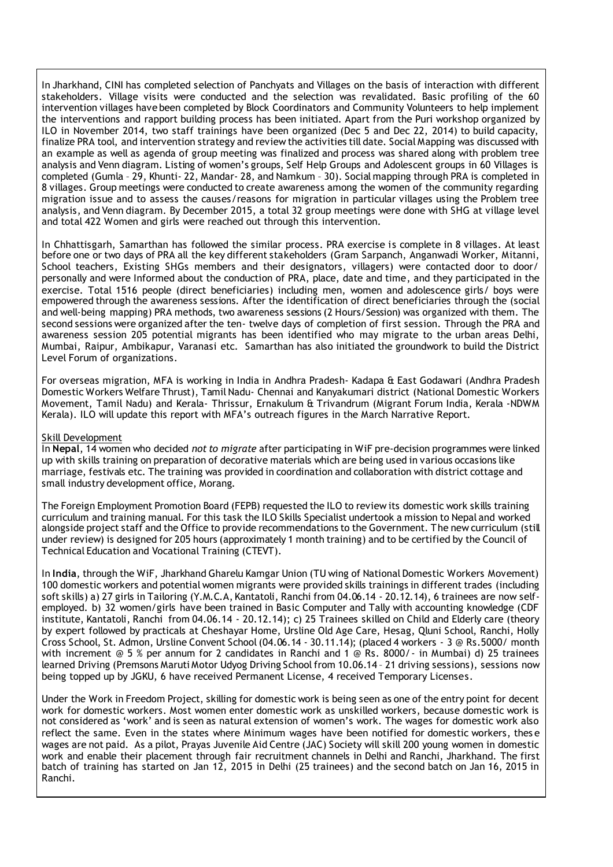In Jharkhand, CINI has completed selection of Panchyats and Villages on the basis of interaction with different stakeholders. Village visits were conducted and the selection was revalidated. Basic profiling of the 60 intervention villages have been completed by Block Coordinators and Community Volunteers to help implement the interventions and rapport building process has been initiated. Apart from the Puri workshop organized by ILO in November 2014, two staff trainings have been organized (Dec 5 and Dec 22, 2014) to build capacity, finalize PRA tool, and intervention strategy and review the activities till date. Social Mapping was discussed with an example as well as agenda of group meeting was finalized and process was shared along with problem tree analysis and Venn diagram. Listing of women's groups, Self Help Groups and Adolescent groups in 60 Villages is completed (Gumla – 29, Khunti- 22, Mandar- 28, and Namkum – 30). Social mapping through PRA is completed in 8 villages. Group meetings were conducted to create awareness among the women of the community regarding migration issue and to assess the causes/reasons for migration in particular villages using the Problem tree analysis, and Venn diagram. By December 2015, a total 32 group meetings were done with SHG at village level and total 422 Women and girls were reached out through this intervention.

In Chhattisgarh, Samarthan has followed the similar process. PRA exercise is complete in 8 villages. At least before one or two days of PRA all the key different stakeholders (Gram Sarpanch, Anganwadi Worker, Mitanni, School teachers, Existing SHGs members and their designators, villagers) were contacted door to door/ personally and were Informed about the conduction of PRA, place, date and time, and they participated in the exercise. Total 1516 people (direct beneficiaries) including men, women and adolescence girls/ boys were empowered through the awareness sessions. After the identification of direct beneficiaries through the (social and well-being mapping) PRA methods, two awareness sessions (2 Hours/Session) was organized with them. The second sessions were organized after the ten- twelve days of completion of first session. Through the PRA and awareness session 205 potential migrants has been identified who may migrate to the urban areas Delhi, Mumbai, Raipur, Ambikapur, Varanasi etc. Samarthan has also initiated the groundwork to build the District Level Forum of organizations.

For overseas migration, MFA is working in India in Andhra Pradesh- Kadapa & East Godawari (Andhra Pradesh Domestic Workers Welfare Thrust), Tamil Nadu- Chennai and Kanyakumari district (National Domestic Workers Movement, Tamil Nadu) and Kerala- Thrissur, Ernakulum & Trivandrum (Migrant Forum India, Kerala -NDWM Kerala). ILO will update this report with MFA's outreach figures in the March Narrative Report.

#### Skill Development

In **Nepal**, 14 women who decided *not to migrate* after participating in WiF pre-decision programmes were linked up with skills training on preparation of decorative materials which are being used in various occasions like marriage, festivals etc. The training was provided in coordination and collaboration with district cottage and small industry development office, Morang.

The Foreign Employment Promotion Board (FEPB) requested the ILO to review its domestic work skills training curriculum and training manual. For this task the ILO Skills Specialist undertook a mission to Nepal and worked alongside project staff and the Office to provide recommendations to the Government. The new curriculum (still under review) is designed for 205 hours (approximately 1 month training) and to be certified by the Council of Technical Education and Vocational Training (CTEVT).

In **India**, through the WiF, Jharkhand Gharelu Kamgar Union (TU wing of National Domestic Workers Movement) 100 domestic workers and potential women migrants were provided skills trainings in different trades (including soft skills) a) 27 girls in Tailoring (Y.M.C.A, Kantatoli, Ranchi from 04.06.14 - 20.12.14), 6 trainees are now selfemployed. b) 32 women/girls have been trained in Basic Computer and Tally with accounting knowledge (CDF institute, Kantatoli, Ranchi from 04.06.14 - 20.12.14); c) 25 Trainees skilled on Child and Elderly care (theory by expert followed by practicals at Cheshayar Home, Ursline Old Age Care, Hesag, Qluni School, Ranchi, Holly Cross School, St. Admon, Ursline Convent School (04.06.14 - 30.11.14); (placed 4 workers - 3 @ Rs.5000/ month with increment @ 5 % per annum for 2 candidates in Ranchi and 1 @ Rs. 8000/- in Mumbai) d) 25 trainees learned Driving (Premsons Maruti Motor Udyog Driving School from 10.06.14 - 21 driving sessions), sessions now being topped up by JGKU, 6 have received Permanent License, 4 received Temporary Licenses.

Under the Work in Freedom Project, skilling for domestic work is being seen as one of the entry point for decent work for domestic workers. Most women enter domestic work as unskilled workers, because domestic work is not considered as 'work' and is seen as natural extension of women's work. The wages for domestic work also reflect the same. Even in the states where Minimum wages have been notified for domestic workers, thes e wages are not paid. As a pilot, Prayas Juvenile Aid Centre (JAC) Society will skill 200 young women in domestic work and enable their placement through fair recruitment channels in Delhi and Ranchi, Jharkhand. The first batch of training has started on Jan 12, 2015 in Delhi (25 trainees) and the second batch on Jan 16, 2015 in Ranchi.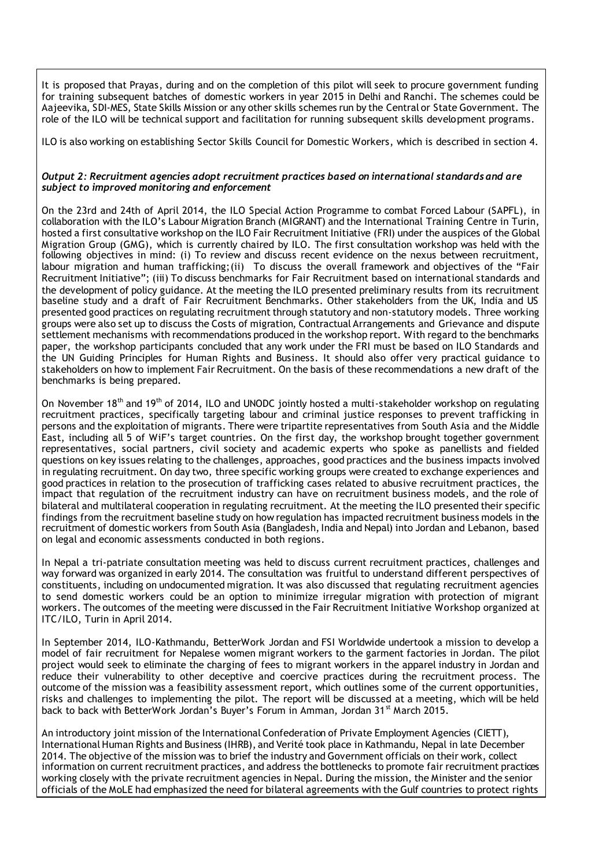It is proposed that Prayas, during and on the completion of this pilot will seek to procure government funding for training subsequent batches of domestic workers in year 2015 in Delhi and Ranchi. The schemes could be Aajeevika, SDI-MES, State Skills Mission or any other skills schemes run by the Central or State Government. The role of the ILO will be technical support and facilitation for running subsequent skills development programs.

ILO is also working on establishing Sector Skills Council for Domestic Workers, which is described in section 4.

### *Output 2: Recruitment agencies adopt recruitment practices based on international standards and are subject to improved monitoring and enforcement*

On the 23rd and 24th of April 2014, the ILO Special Action Programme to combat Forced Labour (SAPFL), in collaboration with the ILO's Labour Migration Branch (MIGRANT) and the International Training Centre in Turin, hosted a first consultative workshop on the ILO Fair Recruitment Initiative (FRI) under the auspices of the Global Migration Group (GMG), which is currently chaired by ILO. The first consultation workshop was held with the following objectives in mind: (i) To review and discuss recent evidence on the nexus between recruitment, labour migration and human trafficking;(ii) To discuss the overall framework and objectives of the "Fair Recruitment Initiative"; (iii) To discuss benchmarks for Fair Recruitment based on international standards and the development of policy guidance. At the meeting the ILO presented preliminary results from its recruitment baseline study and a draft of Fair Recruitment Benchmarks. Other stakeholders from the UK, India and US presented good practices on regulating recruitment through statutory and non-statutory models. Three working groups were also set up to discuss the Costs of migration, Contractual Arrangements and Grievance and dispute settlement mechanisms with recommendations produced in the workshop report. With regard to the benchmarks paper, the workshop participants concluded that any work under the FRI must be based on ILO Standards and the UN Guiding Principles for Human Rights and Business. It should also offer very practical guidance to stakeholders on how to implement Fair Recruitment. On the basis of these recommendations a new draft of the benchmarks is being prepared.

On November 18<sup>th</sup> and 19<sup>th</sup> of 2014, ILO and UNODC jointly hosted a multi-stakeholder workshop on regulating recruitment practices, specifically targeting labour and criminal justice responses to prevent trafficking in persons and the exploitation of migrants. There were tripartite representatives from South Asia and the Middle East, including all 5 of WiF's target countries. On the first day, the workshop brought together government representatives, social partners, civil society and academic experts who spoke as panellists and fielded questions on key issues relating to the challenges, approaches, good practices and the business impacts involved in regulating recruitment. On day two, three specific working groups were created to exchange experiences and good practices in relation to the prosecution of trafficking cases related to abusive recruitment practices, the impact that regulation of the recruitment industry can have on recruitment business models, and the role of bilateral and multilateral cooperation in regulating recruitment. At the meeting the ILO presented their specific findings from the recruitment baseline study on how regulation has impacted recruitment business models in the recruitment of domestic workers from South Asia (Bangladesh, India and Nepal) into Jordan and Lebanon, based on legal and economic assessments conducted in both regions.

In Nepal a tri-patriate consultation meeting was held to discuss current recruitment practices, challenges and way forward was organized in early 2014. The consultation was fruitful to understand different perspectives of constituents, including on undocumented migration. It was also discussed that regulating recruitment agencies to send domestic workers could be an option to minimize irregular migration with protection of migrant workers. The outcomes of the meeting were discussed in the Fair Recruitment Initiative Workshop organized at ITC/ILO, Turin in April 2014.

In September 2014, ILO-Kathmandu, BetterWork Jordan and FSI Worldwide undertook a mission to develop a model of fair recruitment for Nepalese women migrant workers to the garment factories in Jordan. The pilot project would seek to eliminate the charging of fees to migrant workers in the apparel industry in Jordan and reduce their vulnerability to other deceptive and coercive practices during the recruitment process. The outcome of the mission was a feasibility assessment report, which outlines some of the current opportunities, risks and challenges to implementing the pilot. The report will be discussed at a meeting, which will be held back to back with BetterWork Jordan's Buyer's Forum in Amman, Jordan  $31^{st}$  March 2015.

An introductory joint mission of the International Confederation of Private Employment Agencies (CIETT), International Human Rights and Business (IHRB), and Verité took place in Kathmandu, Nepal in late December 2014. The objective of the mission was to brief the industry and Government officials on their work, collect information on current recruitment practices, and address the bottlenecks to promote fair recruitment practices working closely with the private recruitment agencies in Nepal. During the mission, the Minister and the senior officials of the MoLE had emphasized the need for bilateral agreements with the Gulf countries to protect rights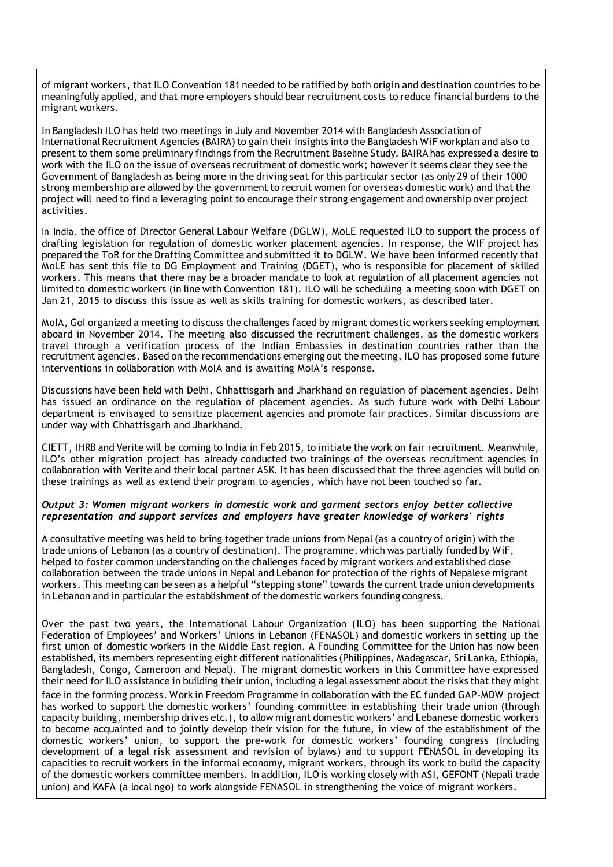of migrant workers, that ILO Convention 181 needed to be ratified by both origin and destination countries to be meaningfully applied, and that more employers should bear recruitment costs to reduce financial burdens to the migrant workers.

In Bangladesh ILO has held two meetings in July and November 2014 with Bangladesh Association of International Recruitment Agencies (BAIRA) to gain their insights into the Bangladesh WiF workplan and also to present to them some preliminary findings from the Recruitment Baseline Study. BAIRA has expressed a desire to work with the ILO on the issue of overseas recruitment of domestic work; however it seems clear they see the Government of Bangladesh as being more in the driving seat for this particular sector (as only 29 of their 1000 strong membership are allowed by the government to recruit women for overseas domestic work) and that the project will need to find a leveraging point to encourage their strong engagement and ownership over project activities.

In India, the office of Director General Labour Welfare (DGLW), MoLE requested ILO to support the process of drafting legislation for regulation of domestic worker placement agencies. In response, the WIF project has prepared the ToR for the Drafting Committee and submitted it to DGLW. We have been informed recently that MoLE has sent this file to DG Employment and Training (DGET), who is responsible for placement of skilled workers. This means that there may be a broader mandate to look at regulation of all placement agencies not limited to domestic workers (in line with Convention 181). ILO will be scheduling a meeting soon with DGET on Jan 21, 2015 to discuss this issue as well as skills training for domestic workers, as described later.

MoIA, GoI organized a meeting to discuss the challenges faced by migrant domestic workers seeking employment aboard in November 2014. The meeting also discussed the recruitment challenges, as the domestic workers travel through a verification process of the Indian Embassies in destination countries rather than the recruitment agencies. Based on the recommendations emerging out the meeting, ILO has proposed some future interventions in collaboration with MoIA and is awaiting MoIA's response.

Discussions have been held with Delhi, Chhattisgarh and Jharkhand on regulation of placement agencies. Delhi has issued an ordinance on the regulation of placement agencies. As such future work with Delhi Labour department is envisaged to sensitize placement agencies and promote fair practices. Similar discussions are under way with Chhattisgarh and Jharkhand.

CIETT, IHRB and Verite will be coming to India in Feb 2015, to initiate the work on fair recruitment. Meanwhile, ILO's other migration project has already conducted two trainings of the overseas recruitment agencies in collaboration with Verite and their local partner ASK. It has been discussed that the three agencies will build on these trainings as well as extend their program to agencies , which have not been touched so far.

# *Output 3: Women migrant workers in domestic work and garment sectors enjoy better collective representation and support services and employers have greater knowledge of workers' rights*

A consultative meeting was held to bring together trade unions from Nepal (as a country of origin) with the trade unions of Lebanon (as a country of destination). The programme, which was partially funded by WiF, helped to foster common understanding on the challenges faced by migrant workers and established close collaboration between the trade unions in Nepal and Lebanon for protection of the rights of Nepalese migrant workers. This meeting can be seen as a helpful "stepping stone" towards the current trade union developments in Lebanon and in particular the establishment of the domestic workers founding congress.

Over the past two years, the International Labour Organization (ILO) has been supporting the National Federation of Employees' and Workers' Unions in Lebanon (FENASOL) and domestic workers in setting up the first union of domestic workers in the Middle East region. A Founding Committee for the Union has now been established, its members representing eight different nationalities (Philippines, Madagascar, Sri Lanka, Ethiopia, Bangladesh, Congo, Cameroon and Nepal). The migrant domestic workers in this Committee have expressed their need for ILO assistance in building their union, including a legal assessment about the risks that they might face in the forming process. Work in Freedom Programme in collaboration with the EC funded GAP-MDW project has worked to support the domestic workers' founding committee in establishing their trade union (through capacity building, membership drives etc.), to allow migrant domestic workers' and Lebanese domestic workers to become acquainted and to jointly develop their vision for the future, in view of the establishment of the domestic workers' union, to support the pre-work for domestic workers' founding congress (including development of a legal risk assessment and revision of bylaws) and to support FENASOL in developing its capacities to recruit workers in the informal economy, migrant workers, through its work to build the capacity of the domestic workers committee members. In addition, ILO is working closely with ASI, GEFONT (Nepali trade union) and KAFA (a local ngo) to work alongside FENASOL in strengthening the voice of migrant workers.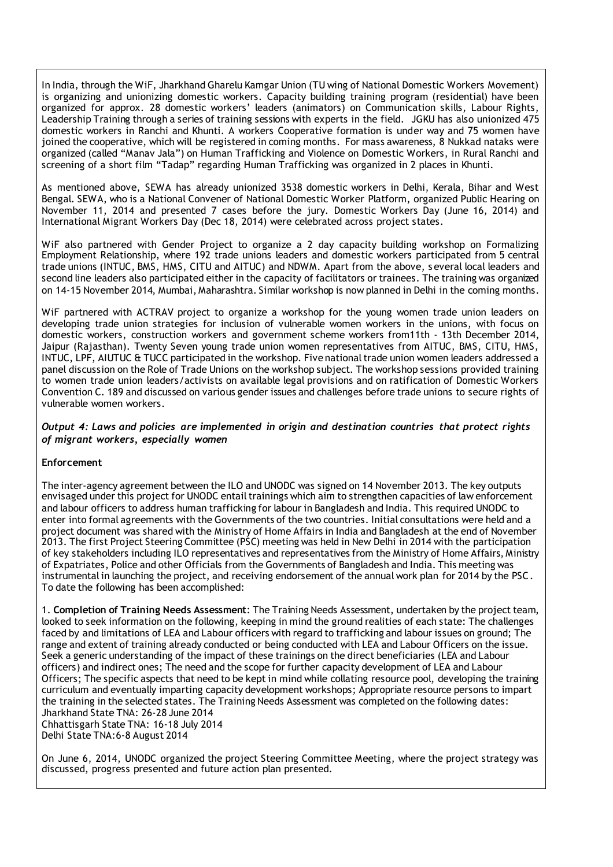In India, through the WiF, Jharkhand Gharelu Kamgar Union (TU wing of National Domestic Workers Movement) is organizing and unionizing domestic workers. Capacity building training program (residential) have been organized for approx. 28 domestic workers' leaders (animators) on Communication skills, Labour Rights, Leadership Training through a series of training sessions with experts in the field. JGKU has also unionized 475 domestic workers in Ranchi and Khunti. A workers Cooperative formation is under way and 75 women have joined the cooperative, which will be registered in coming months. For mass awareness, 8 Nukkad nataks were organized (called "Manav Jala") on Human Trafficking and Violence on Domestic Workers, in Rural Ranchi and screening of a short film "Tadap" regarding Human Trafficking was organized in 2 places in Khunti.

As mentioned above, SEWA has already unionized 3538 domestic workers in Delhi, Kerala, Bihar and West Bengal. SEWA, who is a National Convener of National Domestic Worker Platform, organized Public Hearing on November 11, 2014 and presented 7 cases before the jury. Domestic Workers Day (June 16, 2014) and International Migrant Workers Day (Dec 18, 2014) were celebrated across project states.

WiF also partnered with Gender Project to organize a 2 day capacity building workshop on Formalizing Employment Relationship, where 192 trade unions leaders and domestic workers participated from 5 central trade unions (INTUC, BMS, HMS, CITU and AITUC) and NDWM. Apart from the above, s everal local leaders and second line leaders also participated either in the capacity of facilitators or trainees. The training was organized on 14-15 November 2014, Mumbai, Maharashtra. Similar workshop is now planned in Delhi in the coming months.

WiF partnered with ACTRAV project to organize a workshop for the young women trade union leaders on developing trade union strategies for inclusion of vulnerable women workers in the unions, with focus on domestic workers, construction workers and government scheme workers from11th - 13th December 2014, Jaipur (Rajasthan). Twenty Seven young trade union women representatives from AITUC, BMS, CITU, HMS, INTUC, LPF, AIUTUC & TUCC participated in the workshop. Five national trade union women leaders addressed a panel discussion on the Role of Trade Unions on the workshop subject. The workshop sessions provided training to women trade union leaders/activists on available legal provisions and on ratification of Domestic Workers Convention C. 189 and discussed on various gender issues and challenges before trade unions to secure rights of vulnerable women workers.

*Output 4: Laws and policies are implemented in origin and destination countries that protect rights of migrant workers, especially women*

#### **Enforcement**

The inter-agency agreement between the ILO and UNODC was signed on 14 November 2013. The key outputs envisaged under this project for UNODC entail trainings which aim to strengthen capacities of law enforcement and labour officers to address human trafficking for labour in Bangladesh and India. This required UNODC to enter into formal agreements with the Governments of the two countries. Initial consultations were held and a project document was shared with the Ministry of Home Affairs in India and Bangladesh at the end of November 2013. The first Project Steering Committee (PSC) meeting was held in New Delhi in 2014 with the participation of key stakeholders including ILO representatives and representatives from the Ministry of Home Affairs, Ministry of Expatriates, Police and other Officials from the Governments of Bangladesh and India. This meeting was instrumental in launching the project, and receiving endorsement of the annual work plan for 2014 by the PSC. To date the following has been accomplished:

1. **Completion of Training Needs Assessment**: The Training Needs Assessment, undertaken by the project team, looked to seek information on the following, keeping in mind the ground realities of each state: The challenges faced by and limitations of LEA and Labour officers with regard to trafficking and labour issues on ground; The range and extent of training already conducted or being conducted with LEA and Labour Officers on the issue. Seek a generic understanding of the impact of these trainings on the direct beneficiaries (LEA and Labour officers) and indirect ones; The need and the scope for further capacity development of LEA and Labour Officers; The specific aspects that need to be kept in mind while collating resource pool, developing the training curriculum and eventually imparting capacity development workshops; Appropriate resource persons to impart the training in the selected states. The Training Needs Assessment was completed on the following dates: Jharkhand State TNA: 26-28 June 2014

Chhattisgarh State TNA: 16-18 July 2014 Delhi State TNA:6-8 August 2014

On June 6, 2014, UNODC organized the project Steering Committee Meeting, where the project strategy was discussed, progress presented and future action plan presented.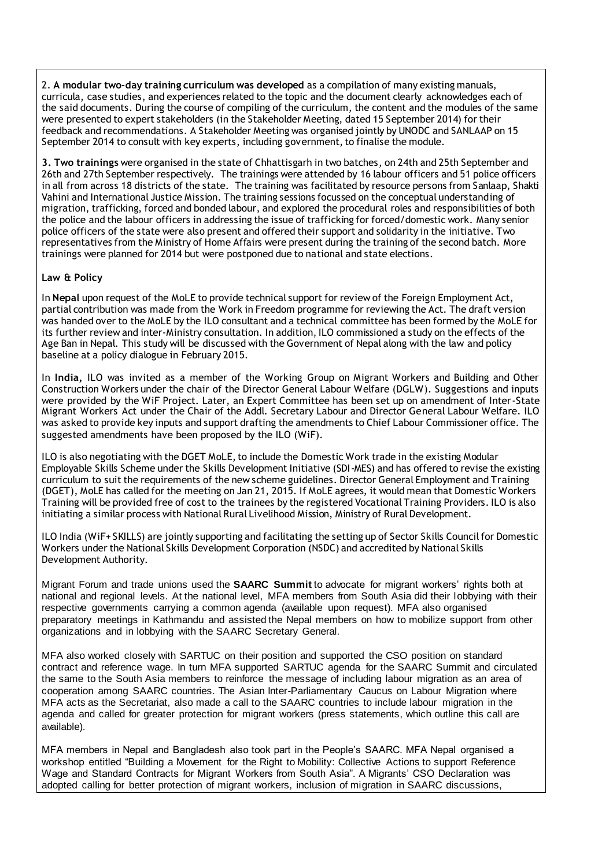2. **A modular two-day training curriculum was developed** as a compilation of many existing manuals, curricula, case studies, and experiences related to the topic and the document clearly acknowledges each of the said documents. During the course of compiling of the curriculum, the content and the modules of the same were presented to expert stakeholders (in the Stakeholder Meeting, dated 15 September 2014) for their feedback and recommendations. A Stakeholder Meeting was organised jointly by UNODC and SANLAAP on 15 September 2014 to consult with key experts, including government, to finalise the module.

**3. Two trainings** were organised in the state of Chhattisgarh in two batches, on 24th and 25th September and 26th and 27th September respectively. The trainings were attended by 16 labour officers and 51 police officers in all from across 18 districts of the state. The training was facilitated by resource persons from Sanlaap, Shakti Vahini and International Justice Mission. The training sessions focussed on the conceptual understanding of migration, trafficking, forced and bonded labour, and explored the procedural roles and responsibilities of both the police and the labour officers in addressing the issue of trafficking for forced/domestic work. Many senior police officers of the state were also present and offered their support and solidarity in the initiative. Two representatives from the Ministry of Home Affairs were present during the training of the second batch. More trainings were planned for 2014 but were postponed due to national and state elections.

# **Law & Policy**

In **Nepal** upon request of the MoLE to provide technical support for review of the Foreign Employment Act, partial contribution was made from the Work in Freedom programme for reviewing the Act. The draft version was handed over to the MoLE by the ILO consultant and a technical committee has been formed by the MoLE for its further review and inter-Ministry consultation. In addition, ILO commissioned a study on the effects of the Age Ban in Nepal. This study will be discussed with the Government of Nepal along with the law and policy baseline at a policy dialogue in February 2015.

In **India,** ILO was invited as a member of the Working Group on Migrant Workers and Building and Other Construction Workers under the chair of the Director General Labour Welfare (DGLW). Suggestions and inputs were provided by the WiF Project. Later, an Expert Committee has been set up on amendment of Inter-State Migrant Workers Act under the Chair of the Addl. Secretary Labour and Director General Labour Welfare. ILO was asked to provide key inputs and support drafting the amendments to Chief Labour Commissioner office. The suggested amendments have been proposed by the ILO (WiF).

ILO is also negotiating with the DGET MoLE, to include the Domestic Work trade in the existing Modular Employable Skills Scheme under the Skills Development Initiative (SDI-MES) and has offered to revise the existing curriculum to suit the requirements of the new scheme guidelines. Director General Employment and Training (DGET), MoLE has called for the meeting on Jan 21, 2015. If MoLE agrees, it would mean that Domestic Workers Training will be provided free of cost to the trainees by the registered Vocational Training Providers. ILO is also initiating a similar process with National Rural Livelihood Mission, Ministry of Rural Development.

ILO India (WiF+ SKILLS) are jointly supporting and facilitating the setting up of Sector Skills Council for Domestic Workers under the National Skills Development Corporation (NSDC) and accredited by National Skills Development Authority.

Migrant Forum and trade unions used the **SAARC Summit** to advocate for migrant workers' rights both at national and regional levels. At the national level, MFA members from South Asia did their lobbying with their respective governments carrying a common agenda (available upon request). MFA also organised preparatory meetings in Kathmandu and assisted the Nepal members on how to mobilize support from other organizations and in lobbying with the SAARC Secretary General.

MFA also worked closely with SARTUC on their position and supported the CSO position on standard contract and reference wage. In turn MFA supported SARTUC agenda for the SAARC Summit and circulated the same to the South Asia members to reinforce the message of including labour migration as an area of cooperation among SAARC countries. The Asian Inter-Parliamentary Caucus on Labour Migration where MFA acts as the Secretariat, also made a call to the SAARC countries to include labour migration in the agenda and called for greater protection for migrant workers (press statements, which outline this call are available).

MFA members in Nepal and Bangladesh also took part in the People's SAARC. MFA Nepal organised a workshop entitled "Building a Movement for the Right to Mobility: Collective Actions to support Reference Wage and Standard Contracts for Migrant Workers from South Asia". A Migrants' CSO Declaration was adopted calling for better protection of migrant workers, inclusion of migration in SAARC discussions,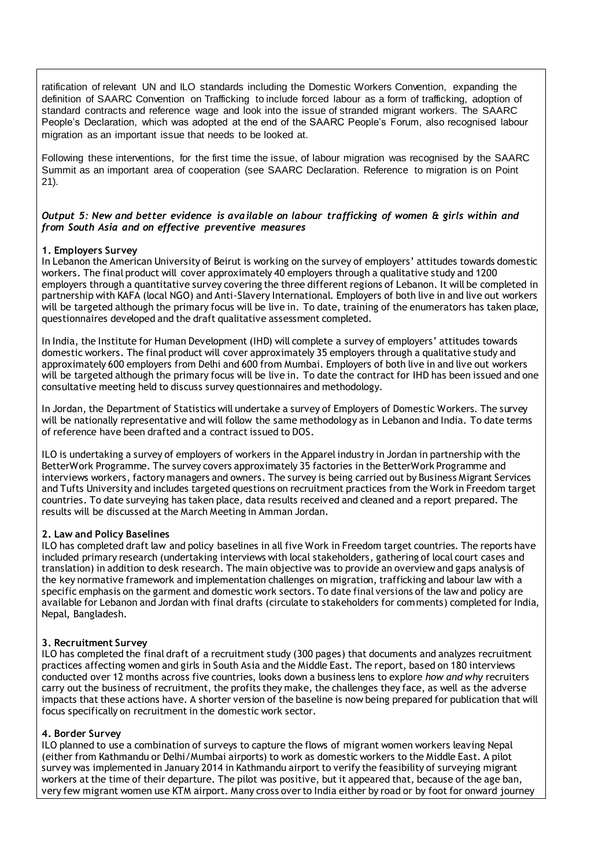ratification of relevant UN and ILO standards including the Domestic Workers Convention, expanding the definition of SAARC Convention on Trafficking to include forced labour as a form of trafficking, adoption of standard contracts and reference wage and look into the issue of stranded migrant workers. The SAARC People's Declaration, which was adopted at the end of the SAARC People's Forum, also recognised labour migration as an important issue that needs to be looked at.

Following these interventions, for the first time the issue, of labour migration was recognised by the SAARC Summit as an important area of cooperation (see SAARC Declaration. Reference to migration is on Point 21).

# *Output 5: New and better evidence is available on labour trafficking of women & girls within and from South Asia and on effective preventive measures*

# **1. Employers Survey**

In Lebanon the American University of Beirut is working on the survey of employers' attitudes towards domestic workers. The final product will cover approximately 40 employers through a qualitative study and 1200 employers through a quantitative survey covering the three different regions of Lebanon. It will be completed in partnership with KAFA (local NGO) and Anti-Slavery International. Employers of both live in and live out workers will be targeted although the primary focus will be live in. To date, training of the enumerators has taken place, questionnaires developed and the draft qualitative assessment completed.

In India, the Institute for Human Development (IHD) will complete a survey of employers' attitudes towards domestic workers. The final product will cover approximately 35 employers through a qualitative study and approximately 600 employers from Delhi and 600 from Mumbai. Employers of both live in and live out workers will be targeted although the primary focus will be live in. To date the contract for IHD has been issued and one consultative meeting held to discuss survey questionnaires and methodology.

In Jordan, the Department of Statistics will undertake a survey of Employers of Domestic Workers. The survey will be nationally representative and will follow the same methodology as in Lebanon and India. To date terms of reference have been drafted and a contract issued to DOS.

ILO is undertaking a survey of employers of workers in the Apparel industry in Jordan in partnership with the BetterWork Programme. The survey covers approximately 35 factories in the BetterWork Programme and interviews workers, factory managers and owners. The survey is being carried out by Business Migrant Services and Tufts University and includes targeted questions on recruitment practices from the Work in Freedom target countries. To date surveying has taken place, data results received and cleaned and a report prepared. The results will be discussed at the March Meeting in Amman Jordan.

# **2. Law and Policy Baselines**

ILO has completed draft law and policy baselines in all five Work in Freedom target countries. The reports have included primary research (undertaking interviews with local stakeholders, gathering of local court cases and translation) in addition to desk research. The main objective was to provide an overview and gaps analysis of the key normative framework and implementation challenges on migration, trafficking and labour law with a specific emphasis on the garment and domestic work sectors. To date final versions of the law and policy are available for Lebanon and Jordan with final drafts (circulate to stakeholders for comments) completed for India, Nepal, Bangladesh.

#### **3. Recruitment Survey**

ILO has completed the final draft of a recruitment study (300 pages) that documents and analyzes recruitment practices affecting women and girls in South Asia and the Middle East. The report, based on 180 interviews conducted over 12 months across five countries, looks down a business lens to explore *how and why* recruiters carry out the business of recruitment, the profits they make, the challenges they face, as well as the adverse impacts that these actions have. A shorter version of the baseline is now being prepared for publication that will focus specifically on recruitment in the domestic work sector.

#### **4. Border Survey**

ILO planned to use a combination of surveys to capture the flows of migrant women workers leaving Nepal (either from Kathmandu or Delhi/Mumbai airports) to work as domestic workers to the Middle East. A pilot survey was implemented in January 2014 in Kathmandu airport to verify the feasibility of surveying migrant workers at the time of their departure. The pilot was positive, but it appeared that, because of the age ban, very few migrant women use KTM airport. Many cross over to India either by road or by foot for onward journey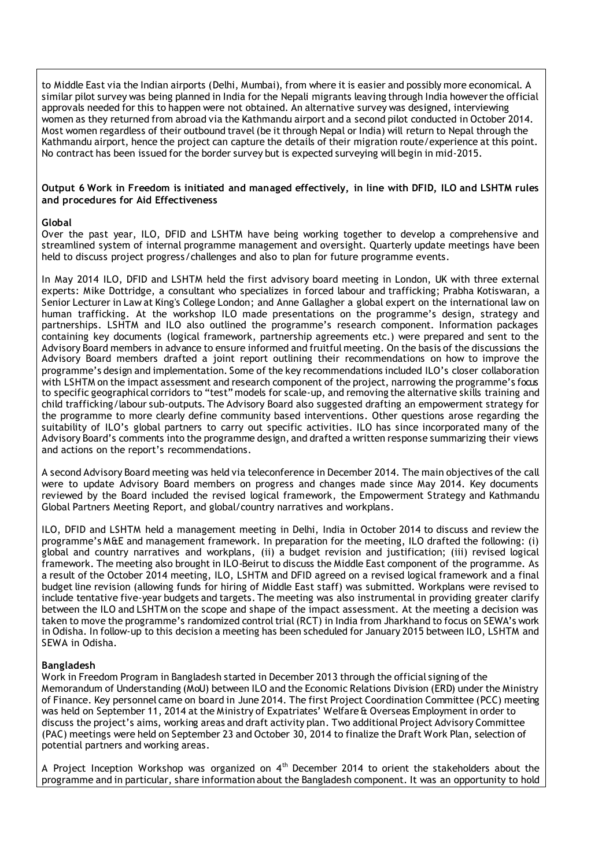to Middle East via the Indian airports (Delhi, Mumbai), from where it is easier and possibly more economical. A similar pilot survey was being planned in India for the Nepali migrants leaving through India however the official approvals needed for this to happen were not obtained. An alternative survey was designed, interviewing women as they returned from abroad via the Kathmandu airport and a second pilot conducted in October 2014. Most women regardless of their outbound travel (be it through Nepal or India) will return to Nepal through the Kathmandu airport, hence the project can capture the details of their migration route/experience at this point. No contract has been issued for the border survey but is expected surveying will begin in mid-2015.

# **Output 6 Work in Freedom is initiated and managed effectively, in line with DFID, ILO and LSHTM rules and procedures for Aid Effectiveness**

# **Global**

Over the past year, ILO, DFID and LSHTM have being working together to develop a comprehensive and streamlined system of internal programme management and oversight. Quarterly update meetings have been held to discuss project progress/challenges and also to plan for future programme events.

In May 2014 ILO, DFID and LSHTM held the first advisory board meeting in London, UK with three external experts: Mike Dottridge, a consultant who specializes in forced labour and trafficking; Prabha Kotiswaran, a Senior Lecturer in Law at King's College London; and Anne Gallagher a global expert on the international law on human trafficking. At the workshop ILO made presentations on the programme's design, strategy and partnerships. LSHTM and ILO also outlined the programme's research component. Information packages containing key documents (logical framework, partnership agreements etc.) were prepared and sent to the Advisory Board members in advance to ensure informed and fruitful meeting. On the basis of the discussions the Advisory Board members drafted a joint report outlining their recommendations on how to improve the programme's design and implementation. Some of the key recommendations included ILO's closer collaboration with LSHTM on the impact assessment and research component of the project, narrowing the programme's focus to specific geographical corridors to "test" models for scale-up, and removing the alternative skills training and child trafficking/labour sub-outputs. The Advisory Board also suggested drafting an empowerment strategy for the programme to more clearly define community based interventions. Other questions arose regarding the suitability of ILO's global partners to carry out specific activities. ILO has since incorporated many of the Advisory Board's comments into the programme design, and drafted a written response summarizing their views and actions on the report's recommendations.

A second Advisory Board meeting was held via teleconference in December 2014. The main objectives of the call were to update Advisory Board members on progress and changes made since May 2014. Key documents reviewed by the Board included the revised logical framework, the Empowerment Strategy and Kathmandu Global Partners Meeting Report, and global/country narratives and workplans.

ILO, DFID and LSHTM held a management meeting in Delhi, India in October 2014 to discuss and review the programme's M&E and management framework. In preparation for the meeting, ILO drafted the following: (i) global and country narratives and workplans, (ii) a budget revision and justification; (iii) revised logical framework. The meeting also brought in ILO-Beirut to discuss the Middle East component of the programme. As a result of the October 2014 meeting, ILO, LSHTM and DFID agreed on a revised logical framework and a final budget line revision (allowing funds for hiring of Middle East staff) was submitted. Workplans were revised to include tentative five-year budgets and targets. The meeting was also instrumental in providing greater clarify between the ILO and LSHTM on the scope and shape of the impact assessment. At the meeting a decision was taken to move the programme's randomized control trial (RCT) in India from Jharkhand to focus on SEWA's work in Odisha. In follow-up to this decision a meeting has been scheduled for January 2015 between ILO, LSHTM and SEWA in Odisha.

#### **Bangladesh**

Work in Freedom Program in Bangladesh started in December 2013 through the official signing of the Memorandum of Understanding (MoU) between ILO and the Economic Relations Division (ERD) under the Ministry of Finance. Key personnel came on board in June 2014. The first Project Coordination Committee (PCC) meeting was held on September 11, 2014 at the Ministry of Expatriates' Welfare & Overseas Employment in order to discuss the project's aims, working areas and draft activity plan. Two additional Project Advisory Committee (PAC) meetings were held on September 23 and October 30, 2014 to finalize the Draft Work Plan, selection of potential partners and working areas.

A Project Inception Workshop was organized on  $4<sup>th</sup>$  December 2014 to orient the stakeholders about the programme and in particular, share information about the Bangladesh component. It was an opportunity to hold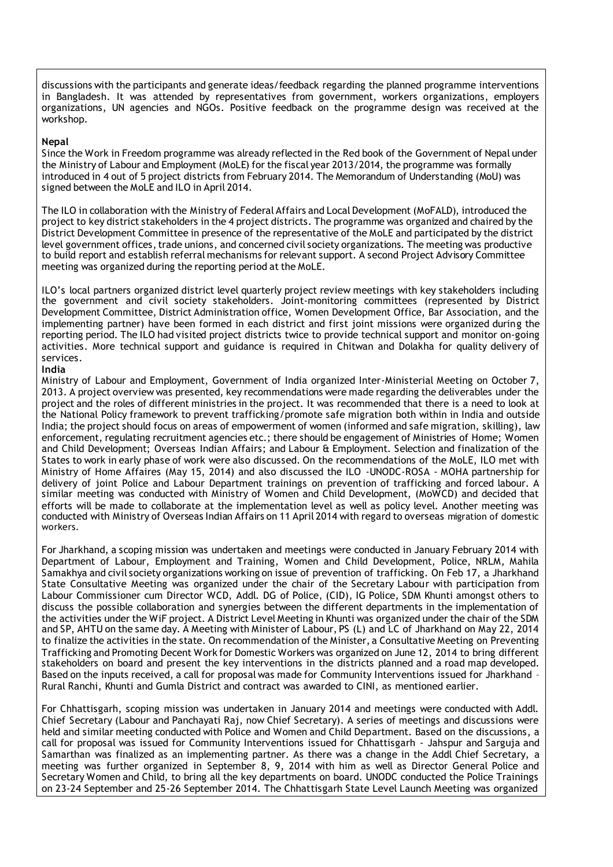discussions with the participants and generate ideas/feedback regarding the planned programme interventions in Bangladesh. It was attended by representatives from government, workers organizations, employers organizations, UN agencies and NGOs. Positive feedback on the programme design was received at the workshop.

# **Nepal**

Since the Work in Freedom programme was already reflected in the Red book of the Government of Nepal under the Ministry of Labour and Employment (MoLE) for the fiscal year 2013/2014, the programme was formally introduced in 4 out of 5 project districts from February 2014. The Memorandum of Understanding (MoU) was signed between the MoLE and ILO in April 2014.

The ILO in collaboration with the Ministry of Federal Affairs and Local Development (MoFALD), introduced the project to key district stakeholders in the 4 project districts. The programme was organized and chaired by the District Development Committee in presence of the representative of the MoLE and participated by the district level government offices, trade unions, and concerned civil society organizations. The meeting was productive to build report and establish referral mechanisms for relevant support. A second Project Advisory Committee meeting was organized during the reporting period at the MoLE.

ILO's local partners organized district level quarterly project review meetings with key stakeholders including the government and civil society stakeholders. Joint-monitoring committees (represented by District Development Committee, District Administration office, Women Development Office, Bar Association, and the implementing partner) have been formed in each district and first joint missions were organized during the reporting period. The ILO had visited project districts twice to provide technical support and monitor on-going activities. More technical support and guidance is required in Chitwan and Dolakha for quality delivery of services.

# **India**

Ministry of Labour and Employment, Government of India organized Inter-Ministerial Meeting on October 7, 2013. A project overview was presented, key recommendations were made regarding the deliverables under the project and the roles of different ministries in the project. It was recommended that there is a need to look at the National Policy framework to prevent trafficking/promote safe migration both within in India and outside India; the project should focus on areas of empowerment of women (informed and safe migration, skilling), law enforcement, regulating recruitment agencies etc.; there should be engagement of Ministries of Home; Women and Child Development; Overseas Indian Affairs; and Labour & Employment. Selection and finalization of the States to work in early phase of work were also discussed. On the recommendations of the MoLE, ILO met with Ministry of Home Affaires (May 15, 2014) and also discussed the ILO -UNODC-ROSA - MOHA partnership for delivery of joint Police and Labour Department trainings on prevention of trafficking and forced labour. A similar meeting was conducted with Ministry of Women and Child Development, (MoWCD) and decided that efforts will be made to collaborate at the implementation level as well as policy level. Another meeting was conducted with Ministry of Overseas Indian Affairs on 11 April 2014 with regard to overseas migration of domestic workers.

For Jharkhand, a scoping mission was undertaken and meetings were conducted in January February 2014 with Department of Labour, Employment and Training, Women and Child Development, Police, NRLM, Mahila Samakhya and civil society organizations working on issue of prevention of trafficking. On Feb 17, a Jharkhand State Consultative Meeting was organized under the chair of the Secretary Labour with participation from Labour Commissioner cum Director WCD, Addl. DG of Police, (CID), IG Police, SDM Khunti amongst others to discuss the possible collaboration and synergies between the different departments in the implementation of the activities under the WiF project. A District Level Meeting in Khunti was organized under the chair of the SDM and SP, AHTU on the same day. A Meeting with Minister of Labour, PS (L) and LC of Jharkhand on May 22, 2014 to finalize the activities in the state. On recommendation of the Minister, a Consultative Meeting on Preventing Trafficking and Promoting Decent Work for Domestic Workers was organized on June 12, 2014 to bring different stakeholders on board and present the key interventions in the districts planned and a road map developed. Based on the inputs received, a call for proposal was made for Community Interventions issued for Jharkhand – Rural Ranchi, Khunti and Gumla District and contract was awarded to CINI, as mentioned earlier.

For Chhattisgarh, scoping mission was undertaken in January 2014 and meetings were conducted with Addl. Chief Secretary (Labour and Panchayati Raj, now Chief Secretary). A series of meetings and discussions were held and similar meeting conducted with Police and Women and Child Department. Based on the discussions, a call for proposal was issued for Community Interventions issued for Chhattisgarh - Jahspur and Sarguja and Samarthan was finalized as an implementing partner. As there was a change in the Addl Chief Secretary, a meeting was further organized in September 8, 9, 2014 with him as well as Director General Police and Secretary Women and Child, to bring all the key departments on board. UNODC conducted the Police Trainings on 23-24 September and 25-26 September 2014. The Chhattisgarh State Level Launch Meeting was organized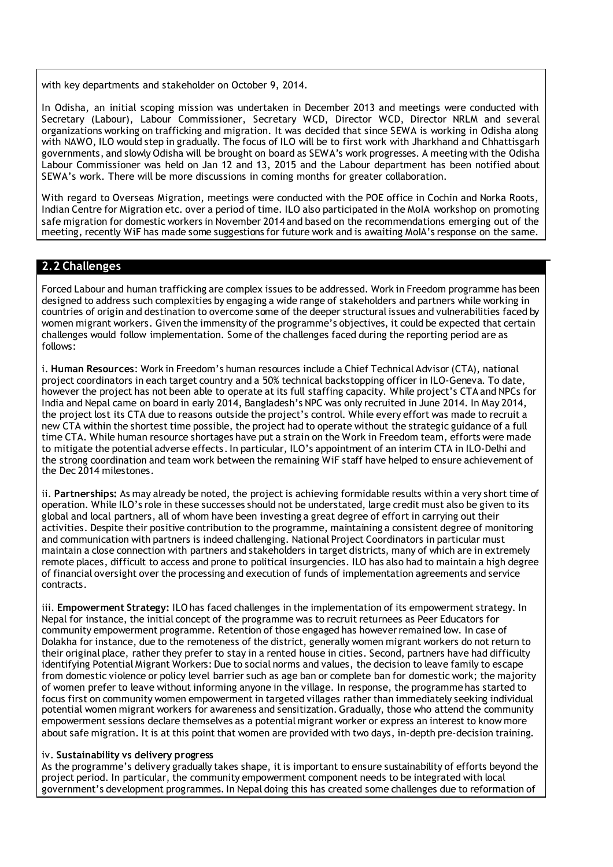with key departments and stakeholder on October 9, 2014.

In Odisha, an initial scoping mission was undertaken in December 2013 and meetings were conducted with Secretary (Labour), Labour Commissioner, Secretary WCD, Director WCD, Director NRLM and several organizations working on trafficking and migration. It was decided that since SEWA is working in Odisha along with NAWO, ILO would step in gradually. The focus of ILO will be to first work with Jharkhand and Chhattisgarh governments, and slowly Odisha will be brought on board as SEWA's work progresses. A meeting with the Odisha Labour Commissioner was held on Jan 12 and 13, 2015 and the Labour department has been notified about SEWA's work. There will be more discussions in coming months for greater collaboration.

With regard to Overseas Migration, meetings were conducted with the POE office in Cochin and Norka Roots, Indian Centre for Migration etc. over a period of time. ILO also participated in the MoIA workshop on promoting safe migration for domestic workers in November 2014 and based on the recommendations emerging out of the meeting, recently WiF has made some suggestions for future work and is awaiting MoIA's response on the same.

# **2.2 Challenges**

Forced Labour and human trafficking are complex issues to be addressed. Work in Freedom programme has been designed to address such complexities by engaging a wide range of stakeholders and partners while working in countries of origin and destination to overcome some of the deeper structural issues and vulnerabilities faced by women migrant workers. Given the immensity of the programme's objectives, it could be expected that certain challenges would follow implementation. Some of the challenges faced during the reporting period are as follows:

i. **Human Resources**: Work in Freedom's human resources include a Chief Technical Advisor (CTA), national project coordinators in each target country and a 50% technical backstopping officer in ILO-Geneva. To date, however the project has not been able to operate at its full staffing capacity. While project's CTA and NPCs for India and Nepal came on board in early 2014, Bangladesh's NPC was only recruited in June 2014. In May 2014, the project lost its CTA due to reasons outside the project's control. While every effort was made to recruit a new CTA within the shortest time possible, the project had to operate without the strategic guidance of a full time CTA. While human resource shortages have put a strain on the Work in Freedom team, efforts were made to mitigate the potential adverse effects. In particular, ILO's appointment of an interim CTA in ILO-Delhi and the strong coordination and team work between the remaining WiF staff have helped to ensure achievement of the Dec 2014 milestones.

ii. **Partnerships:** As may already be noted, the project is achieving formidable results within a very short time of operation. While ILO's role in these successes should not be understated, large credit must also be given to its global and local partners, all of whom have been investing a great degree of effort in carrying out their activities. Despite their positive contribution to the programme, maintaining a consistent degree of monitoring and communication with partners is indeed challenging. National Project Coordinators in particular must maintain a close connection with partners and stakeholders in target districts, many of which are in extremely remote places, difficult to access and prone to political insurgencies. ILO has also had to maintain a high degree of financial oversight over the processing and execution of funds of implementation agreements and service contracts.

iii. **Empowerment Strategy:** ILO has faced challenges in the implementation of its empowerment strategy. In Nepal for instance, the initial concept of the programme was to recruit returnees as Peer Educators for community empowerment programme. Retention of those engaged has however remained low. In case of Dolakha for instance, due to the remoteness of the district, generally women migrant workers do not return to their original place, rather they prefer to stay in a rented house in cities. Second, partners have had difficulty identifying Potential Migrant Workers: Due to social norms and values, the decision to leave family to escape from domestic violence or policy level barrier such as age ban or complete ban for domestic work; the majority of women prefer to leave without informing anyone in the village. In response, the programme has started to focus first on community women empowerment in targeted villages rather than immediately seeking individual potential women migrant workers for awareness and sensitization. Gradually, those who attend the community empowerment sessions declare themselves as a potential migrant worker or express an interest to know more about safe migration. It is at this point that women are provided with two days, in-depth pre-decision training.

#### iv. **Sustainability vs delivery progress**

As the programme's delivery gradually takes shape, it is important to ensure sustainability of efforts beyond the project period. In particular, the community empowerment component needs to be integrated with local government's development programmes. In Nepal doing this has created some challenges due to reformation of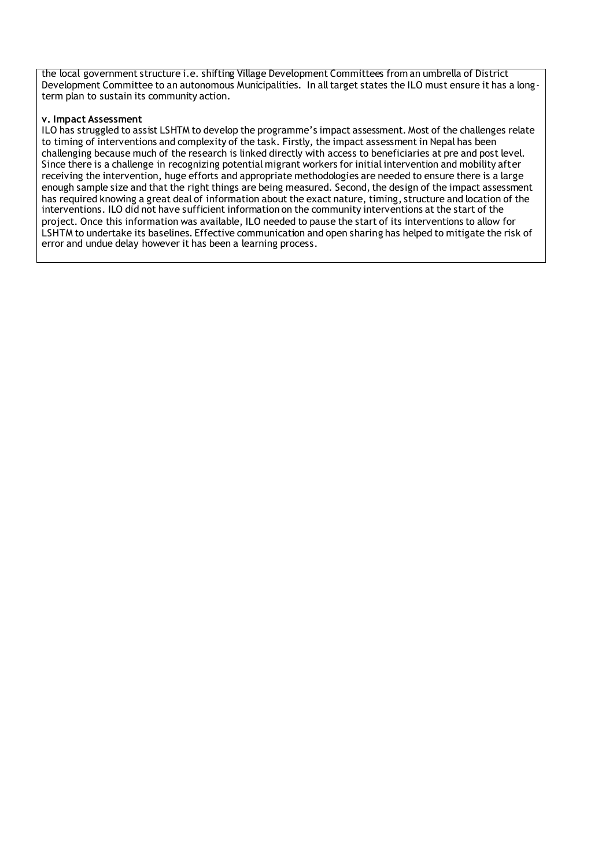the local government structure i.e. shifting Village Development Committees from an umbrella of District Development Committee to an autonomous Municipalities. In all target states the ILO must ensure it has a longterm plan to sustain its community action.

#### **v. Impact Assessment**

ILO has struggled to assist LSHTM to develop the programme's impact assessment. Most of the challenges relate to timing of interventions and complexity of the task. Firstly, the impact assessment in Nepal has been challenging because much of the research is linked directly with access to beneficiaries at pre and post level. Since there is a challenge in recognizing potential migrant workers for initial intervention and mobility after receiving the intervention, huge efforts and appropriate methodologies are needed to ensure there is a large enough sample size and that the right things are being measured. Second, the design of the impact assessment has required knowing a great deal of information about the exact nature, timing, structure and location of the interventions. ILO did not have sufficient information on the community interventions at the start of the project. Once this information was available, ILO needed to pause the start of its interventions to allow for LSHTM to undertake its baselines. Effective communication and open sharing has helped to mitigate the risk of error and undue delay however it has been a learning process.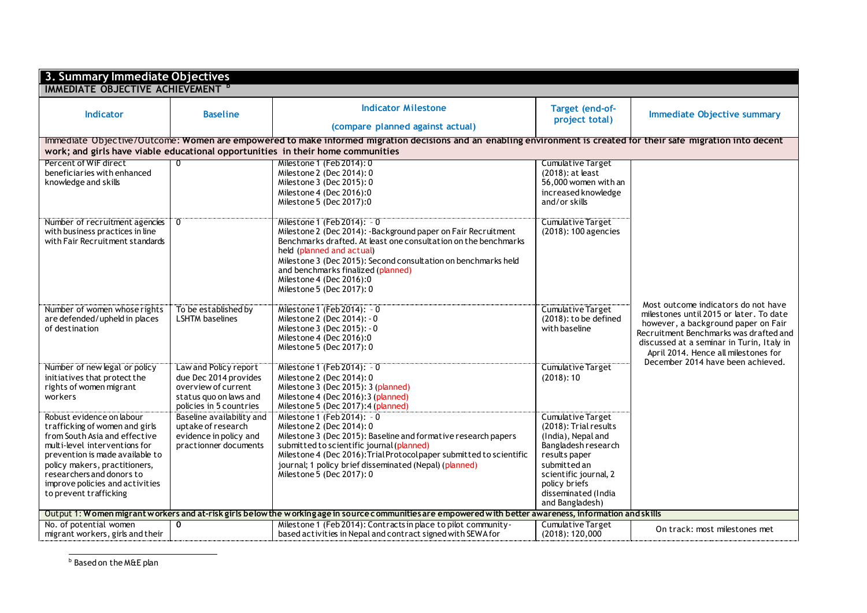| 3. Summary Immediate Objectives<br><b>IMMEDIATE OBJECTIVE ACHIEVEMENT <sup>D</sup></b> |                                                 |                                                                                                                                                                   |                                            |                                                                                |
|----------------------------------------------------------------------------------------|-------------------------------------------------|-------------------------------------------------------------------------------------------------------------------------------------------------------------------|--------------------------------------------|--------------------------------------------------------------------------------|
|                                                                                        |                                                 |                                                                                                                                                                   |                                            |                                                                                |
| Indicator                                                                              | <b>Baseline</b>                                 | <b>Indicator Milestone</b>                                                                                                                                        | Target (end-of-                            | <b>Immediate Objective summary</b>                                             |
|                                                                                        |                                                 |                                                                                                                                                                   | project total)                             |                                                                                |
|                                                                                        |                                                 | (compare planned against actual)                                                                                                                                  |                                            |                                                                                |
|                                                                                        |                                                 | Immediate Objective/Outcome: Women are empowered to make informed migration decisions and an enabling environment is created for their safe migration into decent |                                            |                                                                                |
|                                                                                        |                                                 | work; and girls have viable educational opportunities in their home communities                                                                                   |                                            |                                                                                |
| Percent of WiF direct                                                                  |                                                 | Milestone 1 (Feb 2014): 0                                                                                                                                         | <b>Cumulative Target</b>                   |                                                                                |
| beneficiaries with enhanced                                                            |                                                 | Milestone 2 (Dec 2014): 0                                                                                                                                         | (2018): at least<br>56,000 women with an   |                                                                                |
| knowledge and skills                                                                   |                                                 | Milestone 3 (Dec 2015): 0<br>Milestone 4 (Dec 2016):0                                                                                                             | increased knowledge                        |                                                                                |
|                                                                                        |                                                 | Milestone 5 (Dec 2017):0                                                                                                                                          | and/or skills                              |                                                                                |
|                                                                                        |                                                 |                                                                                                                                                                   |                                            |                                                                                |
| Number of recruitment agencies                                                         | $\overline{0}$                                  | Milestone 1 (Feb 2014): - 0                                                                                                                                       | Cumulative Target                          |                                                                                |
| with business practices in line                                                        |                                                 | Milestone 2 (Dec 2014): - Background paper on Fair Recruitment                                                                                                    | (2018): 100 agencies                       |                                                                                |
| with Fair Recruitment standards                                                        |                                                 | Benchmarks drafted. At least one consultation on the benchmarks                                                                                                   |                                            |                                                                                |
|                                                                                        |                                                 | held (planned and actual)                                                                                                                                         |                                            |                                                                                |
|                                                                                        |                                                 | Milestone 3 (Dec 2015): Second consultation on benchmarks held<br>and benchmarks finalized (planned)                                                              |                                            |                                                                                |
|                                                                                        |                                                 | Milestone 4 (Dec 2016):0                                                                                                                                          |                                            |                                                                                |
|                                                                                        |                                                 | Milestone 5 (Dec 2017): 0                                                                                                                                         |                                            |                                                                                |
|                                                                                        |                                                 |                                                                                                                                                                   |                                            |                                                                                |
| Number of women whose rights                                                           | To be established by                            | Milestone 1 (Feb 2014): - 0                                                                                                                                       | <b>Cumulative Target</b>                   | Most outcome indicators do not have<br>milestones until 2015 or later. To date |
| are defended/upheld in places                                                          | <b>LSHTM</b> baselines                          | Milestone 2 (Dec 2014): - 0                                                                                                                                       | $(2018)$ : to be defined                   | however, a background paper on Fair                                            |
| of destination                                                                         |                                                 | Milestone 3 (Dec 2015): - 0                                                                                                                                       | with baseline                              | Recruitment Benchmarks was drafted and                                         |
|                                                                                        |                                                 | Milestone 4 (Dec 2016):0<br>Milestone 5 (Dec 2017): 0                                                                                                             |                                            | discussed at a seminar in Turin, Italy in                                      |
|                                                                                        |                                                 |                                                                                                                                                                   |                                            | April 2014. Hence all milestones for                                           |
| Number of new legal or policy                                                          | Law and Policy report                           | Milestone 1 (Feb 2014): - 0                                                                                                                                       | Cumulative Target                          | December 2014 have been achieved.                                              |
| initiatives that protect the                                                           | due Dec 2014 provides                           | Milestone 2 (Dec 2014): 0                                                                                                                                         | (2018): 10                                 |                                                                                |
| rights of women migrant                                                                | overview of current                             | Milestone 3 (Dec 2015): 3 (planned)                                                                                                                               |                                            |                                                                                |
| workers                                                                                | status quo on laws and                          | Milestone 4 (Dec 2016): 3 (planned)                                                                                                                               |                                            |                                                                                |
|                                                                                        | policies in 5 countries                         | Milestone 5 (Dec 2017):4 (planned)                                                                                                                                |                                            |                                                                                |
| Robust evidence on labour<br>trafficking of women and girls                            | Baseline availability and<br>uptake of research | Milestone 1 $(Feb 2014)$ : - 0<br>Milestone 2 (Dec 2014): 0                                                                                                       | Cumulative Target<br>(2018): Trial results |                                                                                |
| from South Asia and effective                                                          | evidence in policy and                          | Milestone 3 (Dec 2015): Baseline and formative research papers                                                                                                    | (India), Nepal and                         |                                                                                |
| multi-level interventions for                                                          | practionner documents                           | submitted to scientific journal (planned)                                                                                                                         | Bangladesh research                        |                                                                                |
| prevention is made available to                                                        |                                                 | Milestone 4 (Dec 2016): Trial Protocol paper submitted to scientific                                                                                              | results paper                              |                                                                                |
| policy makers, practitioners,                                                          |                                                 | journal; 1 policy brief disseminated (Nepal) (planned)                                                                                                            | submitted an                               |                                                                                |
| researchers and donors to                                                              |                                                 | Milestone 5 (Dec 2017): 0                                                                                                                                         | scientific journal, 2                      |                                                                                |
| improve policies and activities                                                        |                                                 |                                                                                                                                                                   | policy briefs                              |                                                                                |
| to prevent trafficking                                                                 |                                                 |                                                                                                                                                                   | disseminated (India<br>and Bangladesh)     |                                                                                |
|                                                                                        |                                                 | Output 1: Women migrant workers and at-risk girls below the working age in source communities are empowered with better awareness, information and skills         |                                            |                                                                                |
| No. of potential women                                                                 | 0                                               | Milestone 1 (Feb 2014): Contracts in place to pilot community-                                                                                                    | <b>Cumulative Target</b>                   |                                                                                |
| migrant workers, girls and their                                                       |                                                 | based activities in Nepal and contract signed with SEWA for                                                                                                       | (2018): 120,000                            | On track: most milestones met                                                  |

b Based on the M&E plan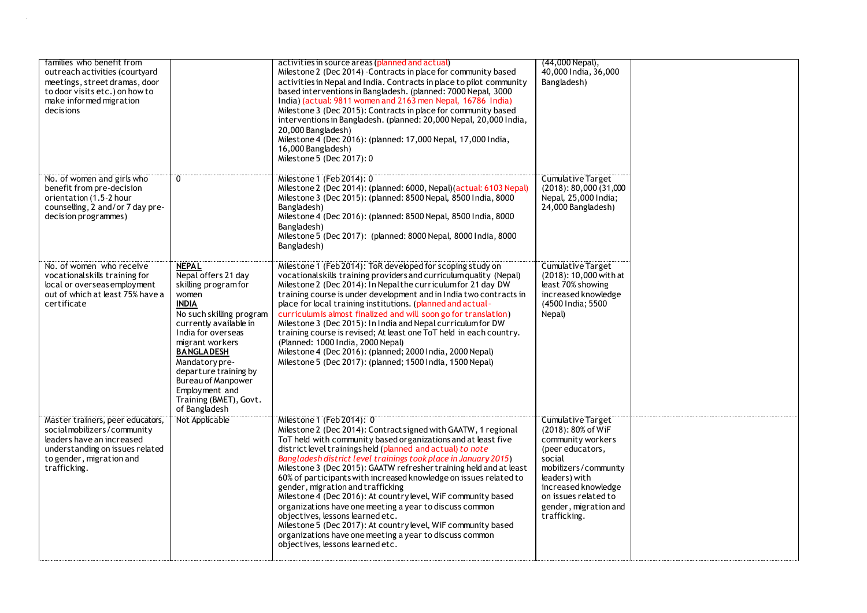| families who benefit from                                                                                                                                                  |                                                                                                                                                                                                                                                                                                                                       | activities in source areas (planned and actual)                                                                                                                                                                                                                                                                                                                                                                                                                                                                                                                                                                                                                                                                                                                                                               | (44,000 Nepal),                                                                                                                                                                                                             |  |
|----------------------------------------------------------------------------------------------------------------------------------------------------------------------------|---------------------------------------------------------------------------------------------------------------------------------------------------------------------------------------------------------------------------------------------------------------------------------------------------------------------------------------|---------------------------------------------------------------------------------------------------------------------------------------------------------------------------------------------------------------------------------------------------------------------------------------------------------------------------------------------------------------------------------------------------------------------------------------------------------------------------------------------------------------------------------------------------------------------------------------------------------------------------------------------------------------------------------------------------------------------------------------------------------------------------------------------------------------|-----------------------------------------------------------------------------------------------------------------------------------------------------------------------------------------------------------------------------|--|
| outreach activities (courtyard<br>meetings, street dramas, door<br>to door visits etc.) on how to<br>make informed migration<br>decisions                                  |                                                                                                                                                                                                                                                                                                                                       | Milestone 2 (Dec 2014) - Contracts in place for community based<br>activities in Nepal and India. Contracts in place to pilot community<br>based interventions in Bangladesh. (planned: 7000 Nepal, 3000<br>India) (actual: 9811 women and 2163 men Nepal, 16786 India)<br>Milestone 3 (Dec 2015): Contracts in place for community based<br>interventions in Bangladesh. (planned: 20,000 Nepal, 20,000 India,<br>20,000 Bangladesh)<br>Milestone 4 (Dec 2016): (planned: 17,000 Nepal, 17,000 India,<br>16,000 Bangladesh)<br>Milestone 5 (Dec 2017): 0                                                                                                                                                                                                                                                     | 40,000 India, 36,000<br>Bangladesh)                                                                                                                                                                                         |  |
| No. of women and girls who<br>benefit from pre-decision<br>orientation (1.5-2 hour<br>counselling, 2 and/or 7 day pre-<br>decision programmes)                             | ö                                                                                                                                                                                                                                                                                                                                     | Milestone 1 (Feb 2014): 0<br>Milestone 2 (Dec 2014): (planned: 6000, Nepal) (actual: 6103 Nepal)<br>Milestone 3 (Dec 2015): (planned: 8500 Nepal, 8500 India, 8000<br>Bangladesh)<br>Milestone 4 (Dec 2016): (planned: 8500 Nepal, 8500 India, 8000<br>Bangladesh)<br>Milestone 5 (Dec 2017): (planned: 8000 Nepal, 8000 India, 8000<br>Bangladesh)                                                                                                                                                                                                                                                                                                                                                                                                                                                           | Cumulative Target<br>$(2018)$ : 80,000 $(31,000)$<br>Nepal, 25,000 India;<br>24,000 Bangladesh)                                                                                                                             |  |
| No. of women who receive<br>vocationalskills training for<br>local or overseas employment<br>out of which at least 75% have a<br>certificate                               | <b>NEPAL</b><br>Nepal offers 21 day<br>skilling programfor<br>women<br><b>INDIA</b><br>No such skilling program<br>currently available in<br>India for overseas<br>migrant workers<br><b>BANGLADESH</b><br>Mandatory pre-<br>departure training by<br>Bureau of Manpower<br>Employment and<br>Training (BMET), Govt.<br>of Bangladesh | Milestone 1 (Feb 2014): ToR developed for scoping study on<br>vocationalskills training providers and curriculum quality (Nepal)<br>Milestone 2 (Dec 2014): In Nepal the curriculum for 21 day DW<br>training course is under development and in India two contracts in<br>place for local training institutions. (planned and actual-<br>curriculum is almost finalized and will soon go for translation)<br>Milestone 3 (Dec 2015): In India and Nepal curriculum for DW<br>training course is revised; At least one ToT held in each country.<br>(Planned: 1000 India, 2000 Nepal)<br>Milestone 4 (Dec 2016): (planned; 2000 India, 2000 Nepal)<br>Milestone 5 (Dec 2017): (planned; 1500 India, 1500 Nepal)                                                                                               | <b>Cumulative Target</b><br>(2018): 10,000 with at<br>least 70% showing<br>increased knowledge<br>(4500 India; 5500<br>Nepal)                                                                                               |  |
| Master trainers, peer educators,<br>socialmobilizers/community<br>leaders have an increased<br>understanding on issues related<br>to gender, migration and<br>trafficking. | Not Applicable                                                                                                                                                                                                                                                                                                                        | Milestone 1 (Feb 2014): 0<br>Milestone 2 (Dec 2014): Contract signed with GAATW, 1 regional<br>ToT held with community based organizations and at least five<br>district level trainings held (planned and actual) to note<br>Bangladesh district level trainings took place in January 2015)<br>Milestone 3 (Dec 2015): GAATW refresher training held and at least<br>60% of participants with increased knowledge on issues related to<br>gender, migration and trafficking<br>Milestone 4 (Dec 2016): At country level, WiF community based<br>organizations have one meeting a year to discuss common<br>objectives, lessons learned etc.<br>Milestone 5 (Dec 2017): At country level, WiF community based<br>organizations have one meeting a year to discuss common<br>objectives, lessons learned etc. | Cumulative Target<br>(2018): 80% of WiF<br>community workers<br>(peer educators,<br>social<br>mobilizers/community<br>leaders) with<br>increased knowledge<br>on issues related to<br>gender, migration and<br>trafficking. |  |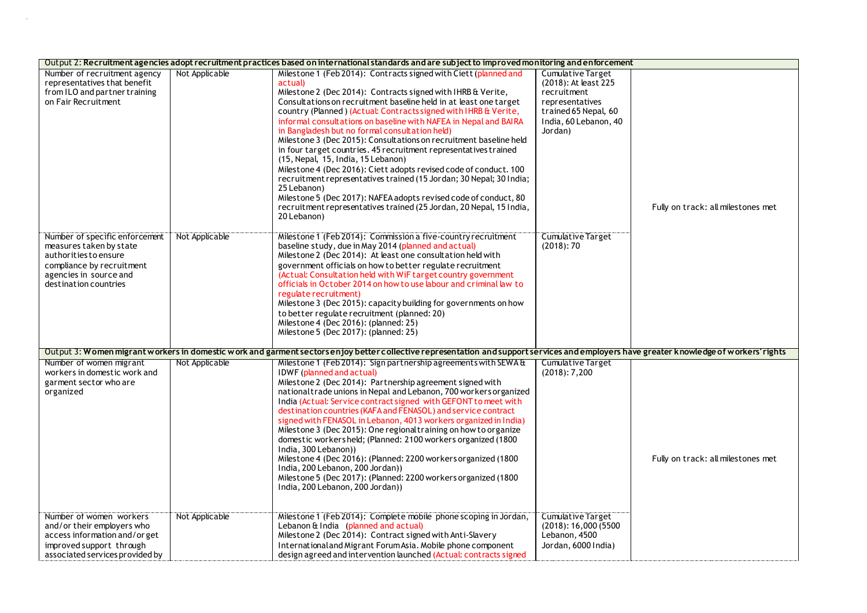| Output 2: Recruitment agencies adopt recruitment practices based on international standards and are subject to improved monitoring and enforcement                 |                |                                                                                                                                                                                                                                                                                                                                                                                                                                                                                                                                                                                                                                                                                                                                                                                                                                                                                                               |                                                                                                                                         |                                    |
|--------------------------------------------------------------------------------------------------------------------------------------------------------------------|----------------|---------------------------------------------------------------------------------------------------------------------------------------------------------------------------------------------------------------------------------------------------------------------------------------------------------------------------------------------------------------------------------------------------------------------------------------------------------------------------------------------------------------------------------------------------------------------------------------------------------------------------------------------------------------------------------------------------------------------------------------------------------------------------------------------------------------------------------------------------------------------------------------------------------------|-----------------------------------------------------------------------------------------------------------------------------------------|------------------------------------|
| Number of recruitment agency<br>representatives that benefit<br>from ILO and partner training<br>on Fair Recruitment                                               | Not Applicable | Milestone 1 (Feb 2014): Contracts signed with Ciett (planned and<br>actual<br>Milestone 2 (Dec 2014): Contracts signed with IHRB & Verite,<br>Consultations on recruitment baseline held in at least one target<br>country (Planned) (Actual: Contracts signed with IHRB & Verite,<br>informal consultations on baseline with NAFEA in Nepal and BAIRA<br>in Bangladesh but no formal consultation held)<br>Milestone 3 (Dec 2015): Consultations on recruitment baseline held<br>in four target countries. 45 recruitment representatives trained<br>(15, Nepal, 15, India, 15 Lebanon)<br>Milestone 4 (Dec 2016): Ciett adopts revised code of conduct. 100<br>recruitment representatives trained (15 Jordan; 30 Nepal; 30 India;<br>25 Lebanon)<br>Milestone 5 (Dec 2017): NAFEA adopts revised code of conduct, 80<br>recruitment representatives trained (25 Jordan, 20 Nepal, 15 India,<br>20 Lebanon) | Cumulative Target<br>(2018): At least 225<br>recruitment<br>representatives<br>trained 65 Nepal, 60<br>India, 60 Lebanon, 40<br>Jordan) | Fully on track: all milestones met |
| Number of specific enforcement<br>measures taken by state<br>authorities to ensure<br>compliance by recruitment<br>agencies in source and<br>destination countries | Not Applicable | Milestone 1 (Feb 2014): Commission a five-country recruitment<br>baseline study, due in May 2014 (planned and actual)<br>Milestone 2 (Dec 2014): At least one consultation held with<br>government officials on how to better regulate recruitment<br>(Actual: Consultation held with WiF target country government<br>officials in October 2014 on how to use labour and criminal law to<br>regulate recruitment)<br>Milestone 3 (Dec 2015): capacity building for governments on how<br>to better regulate recruitment (planned: 20)<br>Milestone 4 (Dec 2016): (planned: 25)<br>Milestone 5 (Dec 2017): (planned: 25)                                                                                                                                                                                                                                                                                      | Cumulative Target<br>(2018): 70                                                                                                         |                                    |
|                                                                                                                                                                    |                | Output 3: Women migrant workers in domestic work and garment sectorsenjoy better collective representation and support services and employers have greater knowledge of workers' rights                                                                                                                                                                                                                                                                                                                                                                                                                                                                                                                                                                                                                                                                                                                       |                                                                                                                                         |                                    |
| Number of women migrant<br>workers in domestic work and<br>garment sector who are<br>organized                                                                     | Not Applicable | Milestone 1 (Feb 2014): Sign partnership agreements with SEWA &<br><b>IDWF</b> (planned and actual)<br>Milestone 2 (Dec 2014): Partnership agreement signed with<br>national trade unions in Nepal and Lebanon, 700 workers organized<br>India (Actual: Service contract signed with GEFONT to meet with<br>destination countries (KAFA and FENASOL) and service contract<br>signed with FENASOL in Lebanon, 4013 workers organized in India)<br>Milestone 3 (Dec 2015): One regional training on how to organize<br>domestic workersheld; (Planned: 2100 workers organized (1800)<br>India, 300 Lebanon))<br>Milestone 4 (Dec 2016): (Planned: 2200 workers organized (1800<br>India, 200 Lebanon, 200 Jordan))<br>Milestone 5 (Dec 2017): (Planned: 2200 workers organized (1800<br>India, 200 Lebanon, 200 Jordan))                                                                                        | <b>Cumulative Target</b><br>(2018): 7,200                                                                                               | Fully on track: all milestones met |
| Number of women workers<br>and/or their employers who<br>access information and/or get<br>improved support through<br>associated services provided by              | Not Applicable | Milestone 1 (Feb 2014): Complete mobile phone scoping in Jordan,<br>Lebanon & India (planned and actual)<br>Milestone 2 (Dec 2014): Contract signed with Anti-Slavery<br>International and Migrant Forum Asia. Mobile phone component<br>design agreed and intervention launched (Actual: contracts signed                                                                                                                                                                                                                                                                                                                                                                                                                                                                                                                                                                                                    | Cumulative Target<br>(2018): 16,000(5500)<br>Lebanon, 4500<br>Jordan, 6000 India)                                                       |                                    |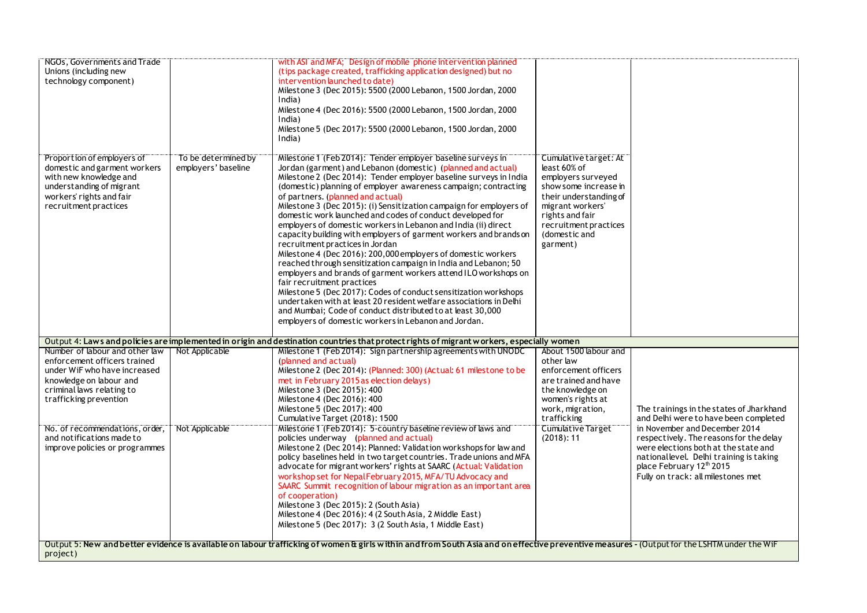| NGOs, Governments and Trade    |                     | with ASI and MFA; Design of mobile phone intervention planned                                                                                                                               |                          |                                          |
|--------------------------------|---------------------|---------------------------------------------------------------------------------------------------------------------------------------------------------------------------------------------|--------------------------|------------------------------------------|
| Unions (including new          |                     | (tips package created, trafficking application designed) but no                                                                                                                             |                          |                                          |
| technology component)          |                     | intervention launched to date)                                                                                                                                                              |                          |                                          |
|                                |                     | Milestone 3 (Dec 2015): 5500 (2000 Lebanon, 1500 Jordan, 2000                                                                                                                               |                          |                                          |
|                                |                     | India)                                                                                                                                                                                      |                          |                                          |
|                                |                     | Milestone 4 (Dec 2016): 5500 (2000 Lebanon, 1500 Jordan, 2000                                                                                                                               |                          |                                          |
|                                |                     | India)                                                                                                                                                                                      |                          |                                          |
|                                |                     | Milestone 5 (Dec 2017): 5500 (2000 Lebanon, 1500 Jordan, 2000                                                                                                                               |                          |                                          |
|                                |                     | India)                                                                                                                                                                                      |                          |                                          |
|                                |                     |                                                                                                                                                                                             |                          |                                          |
| Proportion of employers of     | To be determined by | Milestone 1 (Feb 2014): Tender employer baseline surveys in                                                                                                                                 | Cumulative target: At    |                                          |
| domestic and garment workers   | employers' baseline | Jordan (garment) and Lebanon (domestic) (planned and actual)                                                                                                                                | least 60% of             |                                          |
| with new knowledge and         |                     | Milestone 2 (Dec 2014): Tender employer baseline surveys in India                                                                                                                           | employers surveyed       |                                          |
| understanding of migrant       |                     | (domestic) planning of employer awareness campaign; contracting                                                                                                                             | show some increase in    |                                          |
| workers' rights and fair       |                     | of partners. (planned and actual)                                                                                                                                                           | their understanding of   |                                          |
| recruitment practices          |                     | Milestone 3 (Dec 2015): (i) Sensitization campaign for employers of                                                                                                                         | migrant workers'         |                                          |
|                                |                     | domestic work launched and codes of conduct developed for                                                                                                                                   | rights and fair          |                                          |
|                                |                     | employers of domestic workers in Lebanon and India (ii) direct                                                                                                                              | recruitment practices    |                                          |
|                                |                     | capacity building with employers of garment workers and brands on                                                                                                                           | (domestic and            |                                          |
|                                |                     | recruitment practices in Jordan                                                                                                                                                             | garment)                 |                                          |
|                                |                     | Milestone 4 (Dec 2016): 200,000 employers of domestic workers                                                                                                                               |                          |                                          |
|                                |                     | reached through sensitization campaign in India and Lebanon; 50                                                                                                                             |                          |                                          |
|                                |                     | employers and brands of garment workers attend ILO workshops on                                                                                                                             |                          |                                          |
|                                |                     | fair recruitment practices                                                                                                                                                                  |                          |                                          |
|                                |                     | Milestone 5 (Dec 2017): Codes of conduct sensitization workshops                                                                                                                            |                          |                                          |
|                                |                     | undertaken with at least 20 resident welfare associations in Delhi                                                                                                                          |                          |                                          |
|                                |                     | and Mumbai; Code of conduct distributed to at least 30,000                                                                                                                                  |                          |                                          |
|                                |                     | employers of domestic workers in Lebanon and Jordan.                                                                                                                                        |                          |                                          |
|                                |                     | Output 4: Laws and policies are implemented in origin and destination countries that protect rights of migrant workers, especially women                                                    |                          |                                          |
| Number of labour and other law | Not Applicable      | Milestone 1 (Feb 2014): Sign partnership agreements with UNODC                                                                                                                              | About 1500 labour and    |                                          |
| enforcement officers trained   |                     | (planned and actual)                                                                                                                                                                        | other law                |                                          |
| under WiF who have increased   |                     | Milestone 2 (Dec 2014): (Planned: 300) (Actual: 61 milestone to be                                                                                                                          | enforcement officers     |                                          |
| knowledge on labour and        |                     | met in February 2015 as election delays)                                                                                                                                                    | are trained and have     |                                          |
| criminal laws relating to      |                     | Milestone 3 (Dec 2015): 400                                                                                                                                                                 | the knowledge on         |                                          |
| trafficking prevention         |                     | Milestone 4 (Dec 2016): 400                                                                                                                                                                 | women's rights at        |                                          |
|                                |                     | Milestone 5 (Dec 2017): 400                                                                                                                                                                 | work, migration,         | The trainings in the states of Jharkhand |
|                                |                     | Cumulative Target (2018): 1500                                                                                                                                                              | trafficking              | and Delhi were to have been completed    |
| No. of recommendations, order, | Not Applicable      | Milestone 1 (Feb 2014): 5-country baseline review of laws and                                                                                                                               | <b>Cumulative Target</b> | in November and December 2014            |
| and notifications made to      |                     | policies underway (planned and actual)                                                                                                                                                      | (2018): 11               | respectively. The reasons for the delay  |
| improve policies or programmes |                     | Milestone 2 (Dec 2014): Planned: Validation workshops for law and                                                                                                                           |                          | were elections both at the state and     |
|                                |                     | policy baselines held in two target countries. Trade unions and MFA                                                                                                                         |                          | national level. Delhi training is taking |
|                                |                     | advocate for migrant workers' rights at SAARC (Actual: Validation                                                                                                                           |                          | place February 12 <sup>th</sup> 2015     |
|                                |                     | workshop set for NepalFebruary 2015, MFA/TU Advocacy and                                                                                                                                    |                          | Fully on track: all milestones met       |
|                                |                     | SAARC Summit recognition of labour migration as an important area                                                                                                                           |                          |                                          |
|                                |                     | of cooperation)                                                                                                                                                                             |                          |                                          |
|                                |                     | Milestone 3 (Dec 2015): 2 (South Asia)                                                                                                                                                      |                          |                                          |
|                                |                     | Milestone 4 (Dec 2016): 4 (2 South Asia, 2 Middle East)                                                                                                                                     |                          |                                          |
|                                |                     |                                                                                                                                                                                             |                          |                                          |
|                                |                     | Milestone 5 (Dec 2017): 3 (2 South Asia, 1 Middle East)                                                                                                                                     |                          |                                          |
|                                |                     |                                                                                                                                                                                             |                          |                                          |
| project)                       |                     | Output 5: New and better evidence is available on labour trafficking of women & girls within and from South Asia and on effective preventive measures - (Output for the LSHTM under the WiF |                          |                                          |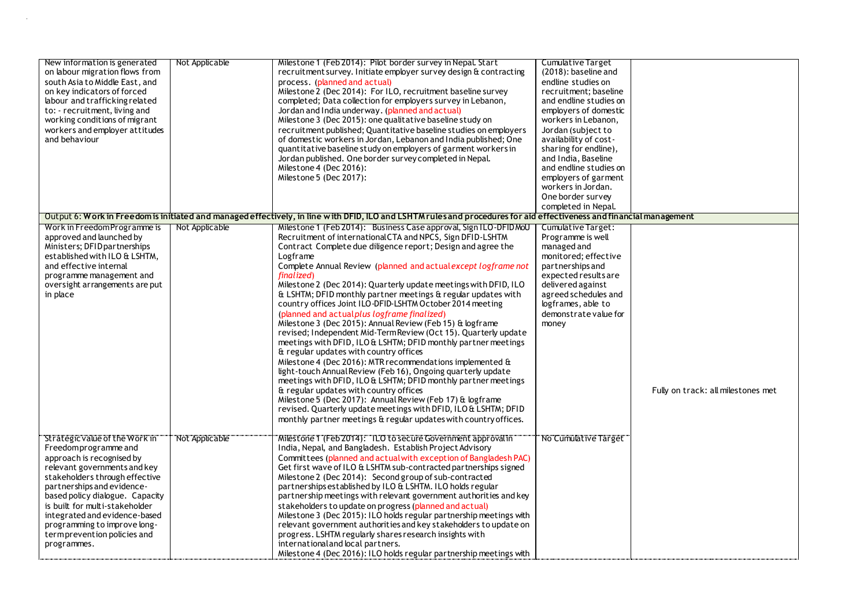| New information is generated<br>on labour migration flows from<br>south Asia to Middle East, and<br>on key indicators of forced<br>labour and trafficking related<br>to: - recruitment, living and<br>working conditions of migrant<br>workers and employer attitudes<br>and behaviour                                                                                  | Not Applicable | Milestone 1 (Feb 2014): Pilot border survey in Nepal. Start<br>recruitment survey. Initiate employer survey design & contracting<br>process. (planned and actual)<br>Milestone 2 (Dec 2014): For ILO, recruitment baseline survey<br>completed; Data collection for employers survey in Lebanon,<br>Jordan and India underway. (planned and actual)<br>Milestone 3 (Dec 2015): one qualitative baseline study on<br>recruitment published; Quantitative baseline studies on employers<br>of domestic workers in Jordan, Lebanon and India published; One<br>quantitative baseline study on employers of garment workers in<br>Jordan published. One border survey completed in Nepal.<br>Milestone 4 (Dec 2016):<br>Milestone 5 (Dec 2017):                                                                                                                                                                                                                                                                                                                                                                                                                                                                                            | <b>Cumulative Target</b><br>(2018): baseline and<br>endline studies on<br>recruitment; baseline<br>and endline studies on<br>employers of domestic<br>workers in Lebanon,<br>Jordan (subject to<br>availability of cost-<br>sharing for endline),<br>and India, Baseline<br>and endline studies on<br>employers of garment<br>workers in Jordan.<br>One border survey<br>completed in Nepal. |                                    |
|-------------------------------------------------------------------------------------------------------------------------------------------------------------------------------------------------------------------------------------------------------------------------------------------------------------------------------------------------------------------------|----------------|----------------------------------------------------------------------------------------------------------------------------------------------------------------------------------------------------------------------------------------------------------------------------------------------------------------------------------------------------------------------------------------------------------------------------------------------------------------------------------------------------------------------------------------------------------------------------------------------------------------------------------------------------------------------------------------------------------------------------------------------------------------------------------------------------------------------------------------------------------------------------------------------------------------------------------------------------------------------------------------------------------------------------------------------------------------------------------------------------------------------------------------------------------------------------------------------------------------------------------------|----------------------------------------------------------------------------------------------------------------------------------------------------------------------------------------------------------------------------------------------------------------------------------------------------------------------------------------------------------------------------------------------|------------------------------------|
|                                                                                                                                                                                                                                                                                                                                                                         |                | Output 6: Work in Freedom is initiated and managed effectively, in line with DFID, ILO and LSHTM rules and procedures for aid effectiveness and financial management                                                                                                                                                                                                                                                                                                                                                                                                                                                                                                                                                                                                                                                                                                                                                                                                                                                                                                                                                                                                                                                                   |                                                                                                                                                                                                                                                                                                                                                                                              |                                    |
| Work in Freedom Programme is<br>approved and launched by<br>Ministers; DFID partnerships<br>established with ILO & LSHTM,<br>and effective internal<br>programme management and<br>oversight arrangements are put<br>in place                                                                                                                                           | Not Applicable | Milestone 1 (Feb 2014): Business Case approval, Sign ILO-DFID MoU<br>Recruitment of international CTA and NPCS, Sign DFID-LSHTM<br>Contract Complete due diligence report; Design and agree the<br>Logframe<br>Complete Annual Review (planned and actual except logframe not<br>finalized)<br>Milestone 2 (Dec 2014): Quarterly update meetings with DFID, ILO<br>& LSHTM; DFID monthly partner meetings & regular updates with<br>country offices Joint ILO-DFID-LSHTM October 2014 meeting<br>(planned and actual plus logframe finalized)<br>Milestone 3 (Dec 2015): Annual Review (Feb 15) & logframe<br>revised; Independent Mid-Term Review (Oct 15). Quarterly update<br>meetings with DFID, ILO & LSHTM; DFID monthly partner meetings<br>& regular updates with country offices<br>Milestone 4 (Dec 2016): MTR recommendations implemented &<br>light-touch Annual Review (Feb 16), Ongoing quarterly update<br>meetings with DFID, ILO & LSHTM; DFID monthly partner meetings<br>& regular updates with country offices<br>Milestone 5 (Dec 2017): Annual Review (Feb 17) & logframe<br>revised. Quarterly update meetings with DFID, ILO & LSHTM; DFID<br>monthly partner meetings & regular updates with country offices. | Cumulative Target:<br>Programme is well<br>managed and<br>monitored; effective<br>partnerships and<br>expected results are<br>delivered against<br>agreed schedules and<br>logframes, able to<br>demonstrate value for<br>money                                                                                                                                                              | Fully on track: all milestones met |
| Strategic value of the Work in<br>Freedomprogramme and<br>approach is recognised by<br>relevant governments and key<br>stakeholders through effective<br>partnerships and evidence-<br>based policy dialogue. Capacity<br>is built for multi-stakeholder<br>integrated and evidence-based<br>programming to improve long-<br>termprevention policies and<br>programmes. | Not Applicable | Milestone 1 (Feb 2014): "ILO to secure Government approval in"<br>India, Nepal, and Bangladesh. Establish Project Advisory<br>Committees (planned and actual with exception of Bangladesh PAC)<br>Get first wave of ILO & LSHTM sub-contracted partnerships signed<br>Milestone 2 (Dec 2014): Second group of sub-contracted<br>partnerships established by ILO & LSHTM. ILO holds regular<br>partnership meetings with relevant government authorities and key<br>stakeholders to update on progress (planned and actual)<br>Milestone 3 (Dec 2015): ILO holds regular partnership meetings with<br>relevant government authorities and key stakeholders to update on<br>progress. LSHTM regularly shares research insights with<br>international and local partners.<br>Milestone 4 (Dec 2016): ILO holds regular partnership meetings with                                                                                                                                                                                                                                                                                                                                                                                          | No Cumulative Target                                                                                                                                                                                                                                                                                                                                                                         |                                    |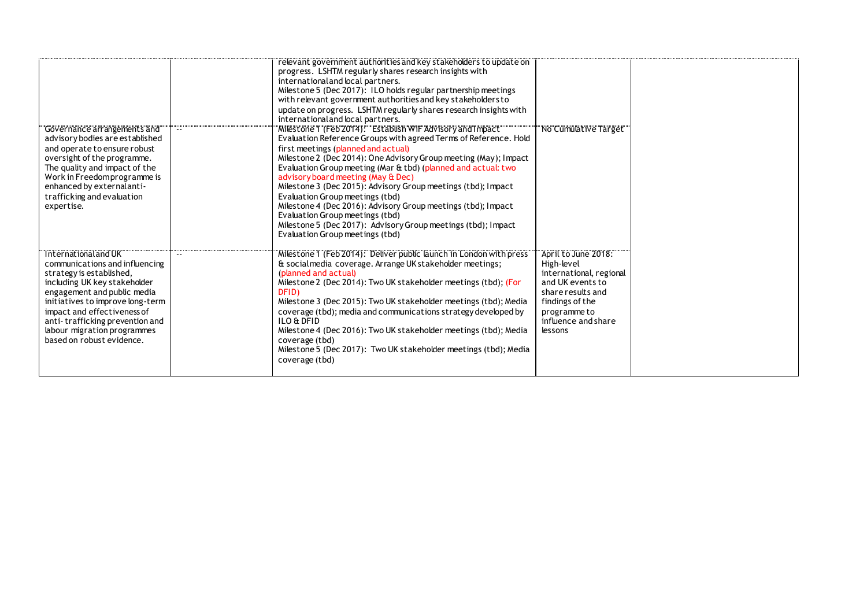| Governance arrangements and<br>advisory bodies are established<br>and operate to ensure robust<br>oversight of the programme.<br>The quality and impact of the<br>Work in Freedom programme is<br>enhanced by external anti-<br>trafficking and evaluation<br>expertise.                                            | relevant government authorities and key stakeholders to update on<br>progress. LSHTM regularly shares research insights with<br>international and local partners.<br>Milestone 5 (Dec 2017): ILO holds regular partnership meetings<br>with relevant government authorities and key stakeholders to<br>update on progress. LSHTM regularly shares research insights with<br>international and local partners.<br>Milestone 1 (Feb 2014): Establish WiF Advisory and Impact<br>Evaluation Reference Groups with agreed Terms of Reference. Hold<br>first meetings (planned and actual)<br>Milestone 2 (Dec 2014): One Advisory Group meeting (May); Impact<br>Evaluation Group meeting (Mar & tbd) (planned and actual: two<br>advisory board meeting (May & Dec)<br>Milestone 3 (Dec 2015): Advisory Group meetings (tbd); Impact<br>Evaluation Group meetings (tbd)<br>Milestone 4 (Dec 2016): Advisory Group meetings (tbd); Impact<br>Evaluation Group meetings (tbd)<br>Milestone 5 (Dec 2017): Advisory Group meetings (tbd); Impact<br>Evaluation Group meetings (tbd) | "No Cumulative Target"                                                                                                                                                     |  |
|---------------------------------------------------------------------------------------------------------------------------------------------------------------------------------------------------------------------------------------------------------------------------------------------------------------------|------------------------------------------------------------------------------------------------------------------------------------------------------------------------------------------------------------------------------------------------------------------------------------------------------------------------------------------------------------------------------------------------------------------------------------------------------------------------------------------------------------------------------------------------------------------------------------------------------------------------------------------------------------------------------------------------------------------------------------------------------------------------------------------------------------------------------------------------------------------------------------------------------------------------------------------------------------------------------------------------------------------------------------------------------------------------------|----------------------------------------------------------------------------------------------------------------------------------------------------------------------------|--|
| Thternational and UK<br>communications and influencing<br>strategy is established,<br>including UK key stakeholder<br>engagement and public media<br>initiatives to improve long-term<br>impact and effectiveness of<br>anti-trafficking prevention and<br>labour migration programmes<br>based on robust evidence. | Milestone 1 (Feb 2014): Deliver public launch in London with press<br>& socialmedia coverage. Arrange UK stakeholder meetings;<br>(planned and actual)<br>Milestone 2 (Dec 2014): Two UK stakeholder meetings (tbd); (For<br>DFID)<br>Milestone 3 (Dec 2015): Two UK stakeholder meetings (tbd); Media<br>coverage (tbd); media and communications strategy developed by<br>ILO & DFID<br>Milestone 4 (Dec 2016): Two UK stakeholder meetings (tbd); Media<br>coverage (tbd)<br>Milestone 5 (Dec 2017): Two UK stakeholder meetings (tbd); Media<br>coverage (tbd)                                                                                                                                                                                                                                                                                                                                                                                                                                                                                                           | April to June 2018:<br>High-level<br>international, regional<br>and UK events to<br>share results and<br>findings of the<br>programme to<br>influence and share<br>lessons |  |